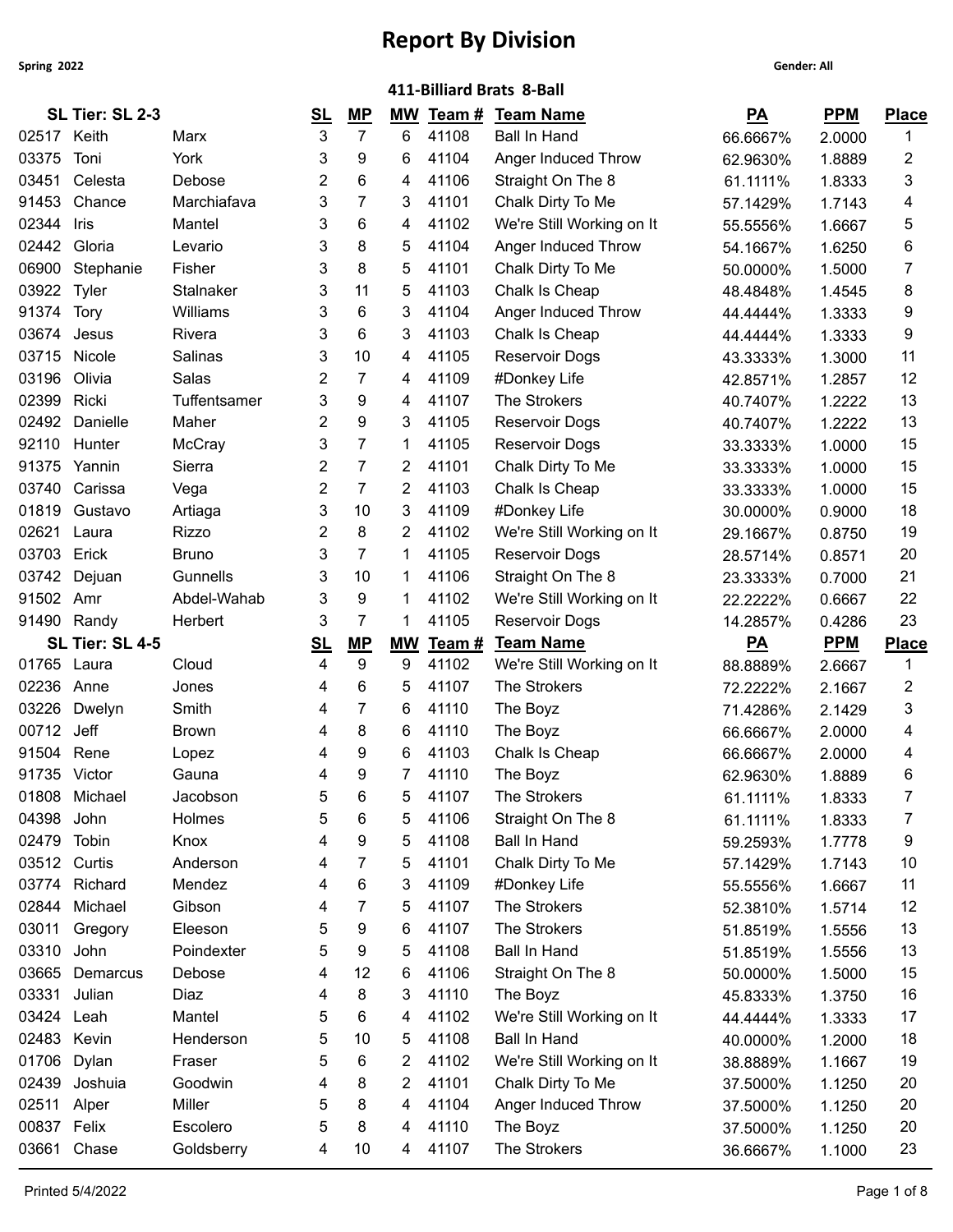| SL Tier: SL 2-3<br><b>PPM</b><br>MP<br>Team#<br>$\underline{PA}$<br><u>SL</u><br>МW<br><b>Team Name</b><br><b>Place</b><br>$\overline{7}$<br>02517 Keith<br>3<br>6<br>41108<br><b>Ball In Hand</b><br>1<br>2.0000<br>Marx<br>66.6667%<br>03375<br>Toni<br>York<br>9<br>6<br>41104<br>2<br>Anger Induced Throw<br>62.9630%<br>1.8889<br>6<br>Celesta<br>Debose<br>2<br>41106<br>Straight On The 8<br>03451<br>4<br>3<br>61.1111%<br>1.8333<br>91453<br>7<br>Chance<br>Marchiafava<br>41101<br>3<br>3<br>Chalk Dirty To Me<br>4<br>1.7143<br>57.1429%<br>6<br>02344<br>41102<br>We're Still Working on It<br>Iris<br>Mantel<br>3<br>5<br>4<br>1.6667<br>55.5556%<br>02442<br>Gloria<br>8<br>5<br>41104<br>Anger Induced Throw<br>6<br>Levario<br>3<br>1.6250<br>54.1667%<br>8<br>06900<br>Fisher<br>3<br>5<br>41101<br>Stephanie<br>Chalk Dirty To Me<br>7<br>1.5000<br>50.0000%<br>03922<br>11<br>41103<br>Chalk Is Cheap<br>Tyler<br><b>Stalnaker</b><br>3<br>5<br>8<br>48.4848%<br>1.4545<br>91374<br>Williams<br>6<br>3<br>41104<br>Anger Induced Throw<br>Tory<br>3<br>9<br>44.4444%<br>1.3333<br>6<br>3<br>3<br>41103<br>Chalk Is Cheap<br>9<br>03674<br>Rivera<br>Jesus<br>44.4444%<br>1.3333<br>03715<br>10<br>Nicole<br>41105<br>11<br>Salinas<br>3<br>4<br><b>Reservoir Dogs</b><br>1.3000<br>43.3333%<br>03196<br>Olivia<br>Salas<br>2<br>7<br>41109<br>12<br>#Donkey Life<br>4<br>42.8571%<br>1.2857<br>9<br>The Strokers<br>13<br>02399<br>Ricki<br>Tuffentsamer<br>3<br>41107<br>4<br>40.7407%<br>1.2222<br>9<br>02492<br>Danielle<br>2<br>3<br>41105<br><b>Reservoir Dogs</b><br>13<br>Maher<br>40.7407%<br>1.2222<br>7<br>92110<br>Hunter<br><b>McCray</b><br>3<br>41105<br>Reservoir Dogs<br>15<br>1<br>1.0000<br>33.3333%<br>2<br>7<br>2<br>41101<br>Chalk Dirty To Me<br>15<br>91375<br>Sierra<br>Yannin<br>33.3333%<br>1.0000<br>2<br>7<br>$\overline{2}$<br>03740<br>Carissa<br>41103<br>Chalk Is Cheap<br>15<br>Vega<br>33.3333%<br>1.0000<br>01819<br>3<br>10<br>3<br>41109<br>18<br>Gustavo<br>Artiaga<br>#Donkey Life<br>30.0000%<br>0.9000<br>8<br>02621<br>2<br>2<br>41102<br>19<br>Rizzo<br>We're Still Working on It<br>Laura<br>0.8750<br>29.1667%<br>03703<br>Erick<br>7<br>41105<br><b>Bruno</b><br>3<br>Reservoir Dogs<br>20<br>1<br>28.5714%<br>0.8571<br>03742<br>Dejuan<br>Gunnells<br>3<br>10<br>41106<br>Straight On The 8<br>21<br>1<br>23.3333%<br>0.7000<br>91502<br>9<br>Amr<br>Abdel-Wahab<br>3<br>41102<br>22<br>We're Still Working on It<br>1<br>22.2222%<br>0.6667<br>7<br>23<br>91490 Randy<br>3<br>41105<br>Herbert<br>1<br>Reservoir Dogs<br>14.2857%<br>0.4286<br>SL Tier: SL 4-5<br>$\underline{PA}$<br><b>PPM</b><br><b>Team Name</b><br><u>SL</u><br><u>MP</u><br><b>MW</b><br>Team #<br><b>Place</b><br>9<br>9<br>41102<br>01765 Laura<br>4<br>We're Still Working on It<br>$\mathbf 1$<br>Cloud<br>88.8889%<br>2.6667<br>02236<br>6<br>5<br>41107<br>The Strokers<br>2<br>Anne<br>Jones<br>4<br>72.2222%<br>2.1667<br>Smith<br>7<br>03226<br>Dwelyn<br>6<br>41110<br>3<br>The Boyz<br>4<br>71.4286%<br>2.1429<br>00712<br>Jeff<br>8<br>6<br>41110<br>The Boyz<br><b>Brown</b><br>4<br>66.6667%<br>2.0000<br>4<br>9<br>Chalk Is Cheap<br>91504<br>6<br>41103<br>Rene<br>4<br>2.0000<br>Lopez<br>66.6667%<br>4<br>91735 Victor<br>$\overline{7}$<br>Gauna<br>9<br>41110<br>The Boyz<br>6<br>62.9630%<br>1.8889<br>01808<br>6<br>5<br>41107<br>The Strokers<br>Michael<br>Jacobson<br>7<br>5<br>1.8333<br>61.1111%<br>04398<br>John<br>Holmes<br>6<br>41106<br>Straight On The 8<br>7<br>5<br>5<br>1.8333<br>61.1111%<br>02479<br>Tobin<br>9<br>41108<br><b>Ball In Hand</b><br>Knox<br>5<br>9<br>59.2593%<br>1.7778<br>03512 Curtis<br>Anderson<br>5<br>41101<br>Chalk Dirty To Me<br>10<br>7<br>4<br>57.1429%<br>1.7143<br>03774<br>Richard<br>Mendez<br>6<br>3<br>41109<br>11<br>#Donkey Life<br>4<br>1.6667<br>55.5556%<br>02844<br>Michael<br>7<br>41107<br>The Strokers<br>12<br>Gibson<br>5<br>52.3810%<br>1.5714<br>4<br>The Strokers<br>03011<br>Gregory<br>9<br>6<br>41107<br>13<br>Eleeson<br>5<br>51.8519%<br>1.5556<br>9<br>03310<br>John<br>5<br>41108<br>Ball In Hand<br>13<br>Poindexter<br>51.8519%<br>1.5556<br>03665<br>12<br>41106<br>15<br>Demarcus<br>Debose<br>6<br>Straight On The 8<br>50.0000%<br>1.5000<br>4<br>03331<br>Julian<br>8<br>3<br>41110<br>The Boyz<br>16<br>Diaz<br>4<br>45.8333%<br>1.3750<br>03424<br>Mantel<br>6<br>41102<br>We're Still Working on It<br>17<br>Leah<br>5<br>4<br>44.4444%<br>1.3333<br>02483 Kevin<br>18<br>10<br>5<br>41108<br><b>Ball In Hand</b><br>Henderson<br>5<br>1.2000<br>40.0000%<br>01706<br>Dylan<br>6<br>2<br>41102<br>We're Still Working on It<br>19<br>Fraser<br>5<br>38.8889%<br>1.1667 |       |         |         |   |   |       | 411-Billiard Brats 8-Ball |          |        |    |
|------------------------------------------------------------------------------------------------------------------------------------------------------------------------------------------------------------------------------------------------------------------------------------------------------------------------------------------------------------------------------------------------------------------------------------------------------------------------------------------------------------------------------------------------------------------------------------------------------------------------------------------------------------------------------------------------------------------------------------------------------------------------------------------------------------------------------------------------------------------------------------------------------------------------------------------------------------------------------------------------------------------------------------------------------------------------------------------------------------------------------------------------------------------------------------------------------------------------------------------------------------------------------------------------------------------------------------------------------------------------------------------------------------------------------------------------------------------------------------------------------------------------------------------------------------------------------------------------------------------------------------------------------------------------------------------------------------------------------------------------------------------------------------------------------------------------------------------------------------------------------------------------------------------------------------------------------------------------------------------------------------------------------------------------------------------------------------------------------------------------------------------------------------------------------------------------------------------------------------------------------------------------------------------------------------------------------------------------------------------------------------------------------------------------------------------------------------------------------------------------------------------------------------------------------------------------------------------------------------------------------------------------------------------------------------------------------------------------------------------------------------------------------------------------------------------------------------------------------------------------------------------------------------------------------------------------------------------------------------------------------------------------------------------------------------------------------------------------------------------------------------------------------------------------------------------------------------------------------------------------------------------------------------------------------------------------------------------------------------------------------------------------------------------------------------------------------------------------------------------------------------------------------------------------------------------------------------------------------------------------------------------------------------------------------------------------------------------------------------------------------------------------------------------------------------------------------------------------------------------------------------------------------------------------------------------------------------------------------------------------------------------------------------------------------------------------------------------------------------------------------------------------------------------------------------------------------------------------------------------------------------------------------------------------------------------------------------------------------------------------------------------------------------------------------------------------------------------------------------------------------------------------------------------------------------------------------------------------------------------------------------------------------------------------------------------------------------------------|-------|---------|---------|---|---|-------|---------------------------|----------|--------|----|
|                                                                                                                                                                                                                                                                                                                                                                                                                                                                                                                                                                                                                                                                                                                                                                                                                                                                                                                                                                                                                                                                                                                                                                                                                                                                                                                                                                                                                                                                                                                                                                                                                                                                                                                                                                                                                                                                                                                                                                                                                                                                                                                                                                                                                                                                                                                                                                                                                                                                                                                                                                                                                                                                                                                                                                                                                                                                                                                                                                                                                                                                                                                                                                                                                                                                                                                                                                                                                                                                                                                                                                                                                                                                                                                                                                                                                                                                                                                                                                                                                                                                                                                                                                                                                                                                                                                                                                                                                                                                                                                                                                                                                                                                                                                        |       |         |         |   |   |       |                           |          |        |    |
|                                                                                                                                                                                                                                                                                                                                                                                                                                                                                                                                                                                                                                                                                                                                                                                                                                                                                                                                                                                                                                                                                                                                                                                                                                                                                                                                                                                                                                                                                                                                                                                                                                                                                                                                                                                                                                                                                                                                                                                                                                                                                                                                                                                                                                                                                                                                                                                                                                                                                                                                                                                                                                                                                                                                                                                                                                                                                                                                                                                                                                                                                                                                                                                                                                                                                                                                                                                                                                                                                                                                                                                                                                                                                                                                                                                                                                                                                                                                                                                                                                                                                                                                                                                                                                                                                                                                                                                                                                                                                                                                                                                                                                                                                                                        |       |         |         |   |   |       |                           |          |        |    |
|                                                                                                                                                                                                                                                                                                                                                                                                                                                                                                                                                                                                                                                                                                                                                                                                                                                                                                                                                                                                                                                                                                                                                                                                                                                                                                                                                                                                                                                                                                                                                                                                                                                                                                                                                                                                                                                                                                                                                                                                                                                                                                                                                                                                                                                                                                                                                                                                                                                                                                                                                                                                                                                                                                                                                                                                                                                                                                                                                                                                                                                                                                                                                                                                                                                                                                                                                                                                                                                                                                                                                                                                                                                                                                                                                                                                                                                                                                                                                                                                                                                                                                                                                                                                                                                                                                                                                                                                                                                                                                                                                                                                                                                                                                                        |       |         |         |   |   |       |                           |          |        |    |
|                                                                                                                                                                                                                                                                                                                                                                                                                                                                                                                                                                                                                                                                                                                                                                                                                                                                                                                                                                                                                                                                                                                                                                                                                                                                                                                                                                                                                                                                                                                                                                                                                                                                                                                                                                                                                                                                                                                                                                                                                                                                                                                                                                                                                                                                                                                                                                                                                                                                                                                                                                                                                                                                                                                                                                                                                                                                                                                                                                                                                                                                                                                                                                                                                                                                                                                                                                                                                                                                                                                                                                                                                                                                                                                                                                                                                                                                                                                                                                                                                                                                                                                                                                                                                                                                                                                                                                                                                                                                                                                                                                                                                                                                                                                        |       |         |         |   |   |       |                           |          |        |    |
|                                                                                                                                                                                                                                                                                                                                                                                                                                                                                                                                                                                                                                                                                                                                                                                                                                                                                                                                                                                                                                                                                                                                                                                                                                                                                                                                                                                                                                                                                                                                                                                                                                                                                                                                                                                                                                                                                                                                                                                                                                                                                                                                                                                                                                                                                                                                                                                                                                                                                                                                                                                                                                                                                                                                                                                                                                                                                                                                                                                                                                                                                                                                                                                                                                                                                                                                                                                                                                                                                                                                                                                                                                                                                                                                                                                                                                                                                                                                                                                                                                                                                                                                                                                                                                                                                                                                                                                                                                                                                                                                                                                                                                                                                                                        |       |         |         |   |   |       |                           |          |        |    |
|                                                                                                                                                                                                                                                                                                                                                                                                                                                                                                                                                                                                                                                                                                                                                                                                                                                                                                                                                                                                                                                                                                                                                                                                                                                                                                                                                                                                                                                                                                                                                                                                                                                                                                                                                                                                                                                                                                                                                                                                                                                                                                                                                                                                                                                                                                                                                                                                                                                                                                                                                                                                                                                                                                                                                                                                                                                                                                                                                                                                                                                                                                                                                                                                                                                                                                                                                                                                                                                                                                                                                                                                                                                                                                                                                                                                                                                                                                                                                                                                                                                                                                                                                                                                                                                                                                                                                                                                                                                                                                                                                                                                                                                                                                                        |       |         |         |   |   |       |                           |          |        |    |
|                                                                                                                                                                                                                                                                                                                                                                                                                                                                                                                                                                                                                                                                                                                                                                                                                                                                                                                                                                                                                                                                                                                                                                                                                                                                                                                                                                                                                                                                                                                                                                                                                                                                                                                                                                                                                                                                                                                                                                                                                                                                                                                                                                                                                                                                                                                                                                                                                                                                                                                                                                                                                                                                                                                                                                                                                                                                                                                                                                                                                                                                                                                                                                                                                                                                                                                                                                                                                                                                                                                                                                                                                                                                                                                                                                                                                                                                                                                                                                                                                                                                                                                                                                                                                                                                                                                                                                                                                                                                                                                                                                                                                                                                                                                        |       |         |         |   |   |       |                           |          |        |    |
|                                                                                                                                                                                                                                                                                                                                                                                                                                                                                                                                                                                                                                                                                                                                                                                                                                                                                                                                                                                                                                                                                                                                                                                                                                                                                                                                                                                                                                                                                                                                                                                                                                                                                                                                                                                                                                                                                                                                                                                                                                                                                                                                                                                                                                                                                                                                                                                                                                                                                                                                                                                                                                                                                                                                                                                                                                                                                                                                                                                                                                                                                                                                                                                                                                                                                                                                                                                                                                                                                                                                                                                                                                                                                                                                                                                                                                                                                                                                                                                                                                                                                                                                                                                                                                                                                                                                                                                                                                                                                                                                                                                                                                                                                                                        |       |         |         |   |   |       |                           |          |        |    |
|                                                                                                                                                                                                                                                                                                                                                                                                                                                                                                                                                                                                                                                                                                                                                                                                                                                                                                                                                                                                                                                                                                                                                                                                                                                                                                                                                                                                                                                                                                                                                                                                                                                                                                                                                                                                                                                                                                                                                                                                                                                                                                                                                                                                                                                                                                                                                                                                                                                                                                                                                                                                                                                                                                                                                                                                                                                                                                                                                                                                                                                                                                                                                                                                                                                                                                                                                                                                                                                                                                                                                                                                                                                                                                                                                                                                                                                                                                                                                                                                                                                                                                                                                                                                                                                                                                                                                                                                                                                                                                                                                                                                                                                                                                                        |       |         |         |   |   |       |                           |          |        |    |
|                                                                                                                                                                                                                                                                                                                                                                                                                                                                                                                                                                                                                                                                                                                                                                                                                                                                                                                                                                                                                                                                                                                                                                                                                                                                                                                                                                                                                                                                                                                                                                                                                                                                                                                                                                                                                                                                                                                                                                                                                                                                                                                                                                                                                                                                                                                                                                                                                                                                                                                                                                                                                                                                                                                                                                                                                                                                                                                                                                                                                                                                                                                                                                                                                                                                                                                                                                                                                                                                                                                                                                                                                                                                                                                                                                                                                                                                                                                                                                                                                                                                                                                                                                                                                                                                                                                                                                                                                                                                                                                                                                                                                                                                                                                        |       |         |         |   |   |       |                           |          |        |    |
|                                                                                                                                                                                                                                                                                                                                                                                                                                                                                                                                                                                                                                                                                                                                                                                                                                                                                                                                                                                                                                                                                                                                                                                                                                                                                                                                                                                                                                                                                                                                                                                                                                                                                                                                                                                                                                                                                                                                                                                                                                                                                                                                                                                                                                                                                                                                                                                                                                                                                                                                                                                                                                                                                                                                                                                                                                                                                                                                                                                                                                                                                                                                                                                                                                                                                                                                                                                                                                                                                                                                                                                                                                                                                                                                                                                                                                                                                                                                                                                                                                                                                                                                                                                                                                                                                                                                                                                                                                                                                                                                                                                                                                                                                                                        |       |         |         |   |   |       |                           |          |        |    |
|                                                                                                                                                                                                                                                                                                                                                                                                                                                                                                                                                                                                                                                                                                                                                                                                                                                                                                                                                                                                                                                                                                                                                                                                                                                                                                                                                                                                                                                                                                                                                                                                                                                                                                                                                                                                                                                                                                                                                                                                                                                                                                                                                                                                                                                                                                                                                                                                                                                                                                                                                                                                                                                                                                                                                                                                                                                                                                                                                                                                                                                                                                                                                                                                                                                                                                                                                                                                                                                                                                                                                                                                                                                                                                                                                                                                                                                                                                                                                                                                                                                                                                                                                                                                                                                                                                                                                                                                                                                                                                                                                                                                                                                                                                                        |       |         |         |   |   |       |                           |          |        |    |
|                                                                                                                                                                                                                                                                                                                                                                                                                                                                                                                                                                                                                                                                                                                                                                                                                                                                                                                                                                                                                                                                                                                                                                                                                                                                                                                                                                                                                                                                                                                                                                                                                                                                                                                                                                                                                                                                                                                                                                                                                                                                                                                                                                                                                                                                                                                                                                                                                                                                                                                                                                                                                                                                                                                                                                                                                                                                                                                                                                                                                                                                                                                                                                                                                                                                                                                                                                                                                                                                                                                                                                                                                                                                                                                                                                                                                                                                                                                                                                                                                                                                                                                                                                                                                                                                                                                                                                                                                                                                                                                                                                                                                                                                                                                        |       |         |         |   |   |       |                           |          |        |    |
|                                                                                                                                                                                                                                                                                                                                                                                                                                                                                                                                                                                                                                                                                                                                                                                                                                                                                                                                                                                                                                                                                                                                                                                                                                                                                                                                                                                                                                                                                                                                                                                                                                                                                                                                                                                                                                                                                                                                                                                                                                                                                                                                                                                                                                                                                                                                                                                                                                                                                                                                                                                                                                                                                                                                                                                                                                                                                                                                                                                                                                                                                                                                                                                                                                                                                                                                                                                                                                                                                                                                                                                                                                                                                                                                                                                                                                                                                                                                                                                                                                                                                                                                                                                                                                                                                                                                                                                                                                                                                                                                                                                                                                                                                                                        |       |         |         |   |   |       |                           |          |        |    |
|                                                                                                                                                                                                                                                                                                                                                                                                                                                                                                                                                                                                                                                                                                                                                                                                                                                                                                                                                                                                                                                                                                                                                                                                                                                                                                                                                                                                                                                                                                                                                                                                                                                                                                                                                                                                                                                                                                                                                                                                                                                                                                                                                                                                                                                                                                                                                                                                                                                                                                                                                                                                                                                                                                                                                                                                                                                                                                                                                                                                                                                                                                                                                                                                                                                                                                                                                                                                                                                                                                                                                                                                                                                                                                                                                                                                                                                                                                                                                                                                                                                                                                                                                                                                                                                                                                                                                                                                                                                                                                                                                                                                                                                                                                                        |       |         |         |   |   |       |                           |          |        |    |
|                                                                                                                                                                                                                                                                                                                                                                                                                                                                                                                                                                                                                                                                                                                                                                                                                                                                                                                                                                                                                                                                                                                                                                                                                                                                                                                                                                                                                                                                                                                                                                                                                                                                                                                                                                                                                                                                                                                                                                                                                                                                                                                                                                                                                                                                                                                                                                                                                                                                                                                                                                                                                                                                                                                                                                                                                                                                                                                                                                                                                                                                                                                                                                                                                                                                                                                                                                                                                                                                                                                                                                                                                                                                                                                                                                                                                                                                                                                                                                                                                                                                                                                                                                                                                                                                                                                                                                                                                                                                                                                                                                                                                                                                                                                        |       |         |         |   |   |       |                           |          |        |    |
|                                                                                                                                                                                                                                                                                                                                                                                                                                                                                                                                                                                                                                                                                                                                                                                                                                                                                                                                                                                                                                                                                                                                                                                                                                                                                                                                                                                                                                                                                                                                                                                                                                                                                                                                                                                                                                                                                                                                                                                                                                                                                                                                                                                                                                                                                                                                                                                                                                                                                                                                                                                                                                                                                                                                                                                                                                                                                                                                                                                                                                                                                                                                                                                                                                                                                                                                                                                                                                                                                                                                                                                                                                                                                                                                                                                                                                                                                                                                                                                                                                                                                                                                                                                                                                                                                                                                                                                                                                                                                                                                                                                                                                                                                                                        |       |         |         |   |   |       |                           |          |        |    |
|                                                                                                                                                                                                                                                                                                                                                                                                                                                                                                                                                                                                                                                                                                                                                                                                                                                                                                                                                                                                                                                                                                                                                                                                                                                                                                                                                                                                                                                                                                                                                                                                                                                                                                                                                                                                                                                                                                                                                                                                                                                                                                                                                                                                                                                                                                                                                                                                                                                                                                                                                                                                                                                                                                                                                                                                                                                                                                                                                                                                                                                                                                                                                                                                                                                                                                                                                                                                                                                                                                                                                                                                                                                                                                                                                                                                                                                                                                                                                                                                                                                                                                                                                                                                                                                                                                                                                                                                                                                                                                                                                                                                                                                                                                                        |       |         |         |   |   |       |                           |          |        |    |
|                                                                                                                                                                                                                                                                                                                                                                                                                                                                                                                                                                                                                                                                                                                                                                                                                                                                                                                                                                                                                                                                                                                                                                                                                                                                                                                                                                                                                                                                                                                                                                                                                                                                                                                                                                                                                                                                                                                                                                                                                                                                                                                                                                                                                                                                                                                                                                                                                                                                                                                                                                                                                                                                                                                                                                                                                                                                                                                                                                                                                                                                                                                                                                                                                                                                                                                                                                                                                                                                                                                                                                                                                                                                                                                                                                                                                                                                                                                                                                                                                                                                                                                                                                                                                                                                                                                                                                                                                                                                                                                                                                                                                                                                                                                        |       |         |         |   |   |       |                           |          |        |    |
|                                                                                                                                                                                                                                                                                                                                                                                                                                                                                                                                                                                                                                                                                                                                                                                                                                                                                                                                                                                                                                                                                                                                                                                                                                                                                                                                                                                                                                                                                                                                                                                                                                                                                                                                                                                                                                                                                                                                                                                                                                                                                                                                                                                                                                                                                                                                                                                                                                                                                                                                                                                                                                                                                                                                                                                                                                                                                                                                                                                                                                                                                                                                                                                                                                                                                                                                                                                                                                                                                                                                                                                                                                                                                                                                                                                                                                                                                                                                                                                                                                                                                                                                                                                                                                                                                                                                                                                                                                                                                                                                                                                                                                                                                                                        |       |         |         |   |   |       |                           |          |        |    |
|                                                                                                                                                                                                                                                                                                                                                                                                                                                                                                                                                                                                                                                                                                                                                                                                                                                                                                                                                                                                                                                                                                                                                                                                                                                                                                                                                                                                                                                                                                                                                                                                                                                                                                                                                                                                                                                                                                                                                                                                                                                                                                                                                                                                                                                                                                                                                                                                                                                                                                                                                                                                                                                                                                                                                                                                                                                                                                                                                                                                                                                                                                                                                                                                                                                                                                                                                                                                                                                                                                                                                                                                                                                                                                                                                                                                                                                                                                                                                                                                                                                                                                                                                                                                                                                                                                                                                                                                                                                                                                                                                                                                                                                                                                                        |       |         |         |   |   |       |                           |          |        |    |
|                                                                                                                                                                                                                                                                                                                                                                                                                                                                                                                                                                                                                                                                                                                                                                                                                                                                                                                                                                                                                                                                                                                                                                                                                                                                                                                                                                                                                                                                                                                                                                                                                                                                                                                                                                                                                                                                                                                                                                                                                                                                                                                                                                                                                                                                                                                                                                                                                                                                                                                                                                                                                                                                                                                                                                                                                                                                                                                                                                                                                                                                                                                                                                                                                                                                                                                                                                                                                                                                                                                                                                                                                                                                                                                                                                                                                                                                                                                                                                                                                                                                                                                                                                                                                                                                                                                                                                                                                                                                                                                                                                                                                                                                                                                        |       |         |         |   |   |       |                           |          |        |    |
|                                                                                                                                                                                                                                                                                                                                                                                                                                                                                                                                                                                                                                                                                                                                                                                                                                                                                                                                                                                                                                                                                                                                                                                                                                                                                                                                                                                                                                                                                                                                                                                                                                                                                                                                                                                                                                                                                                                                                                                                                                                                                                                                                                                                                                                                                                                                                                                                                                                                                                                                                                                                                                                                                                                                                                                                                                                                                                                                                                                                                                                                                                                                                                                                                                                                                                                                                                                                                                                                                                                                                                                                                                                                                                                                                                                                                                                                                                                                                                                                                                                                                                                                                                                                                                                                                                                                                                                                                                                                                                                                                                                                                                                                                                                        |       |         |         |   |   |       |                           |          |        |    |
|                                                                                                                                                                                                                                                                                                                                                                                                                                                                                                                                                                                                                                                                                                                                                                                                                                                                                                                                                                                                                                                                                                                                                                                                                                                                                                                                                                                                                                                                                                                                                                                                                                                                                                                                                                                                                                                                                                                                                                                                                                                                                                                                                                                                                                                                                                                                                                                                                                                                                                                                                                                                                                                                                                                                                                                                                                                                                                                                                                                                                                                                                                                                                                                                                                                                                                                                                                                                                                                                                                                                                                                                                                                                                                                                                                                                                                                                                                                                                                                                                                                                                                                                                                                                                                                                                                                                                                                                                                                                                                                                                                                                                                                                                                                        |       |         |         |   |   |       |                           |          |        |    |
|                                                                                                                                                                                                                                                                                                                                                                                                                                                                                                                                                                                                                                                                                                                                                                                                                                                                                                                                                                                                                                                                                                                                                                                                                                                                                                                                                                                                                                                                                                                                                                                                                                                                                                                                                                                                                                                                                                                                                                                                                                                                                                                                                                                                                                                                                                                                                                                                                                                                                                                                                                                                                                                                                                                                                                                                                                                                                                                                                                                                                                                                                                                                                                                                                                                                                                                                                                                                                                                                                                                                                                                                                                                                                                                                                                                                                                                                                                                                                                                                                                                                                                                                                                                                                                                                                                                                                                                                                                                                                                                                                                                                                                                                                                                        |       |         |         |   |   |       |                           |          |        |    |
|                                                                                                                                                                                                                                                                                                                                                                                                                                                                                                                                                                                                                                                                                                                                                                                                                                                                                                                                                                                                                                                                                                                                                                                                                                                                                                                                                                                                                                                                                                                                                                                                                                                                                                                                                                                                                                                                                                                                                                                                                                                                                                                                                                                                                                                                                                                                                                                                                                                                                                                                                                                                                                                                                                                                                                                                                                                                                                                                                                                                                                                                                                                                                                                                                                                                                                                                                                                                                                                                                                                                                                                                                                                                                                                                                                                                                                                                                                                                                                                                                                                                                                                                                                                                                                                                                                                                                                                                                                                                                                                                                                                                                                                                                                                        |       |         |         |   |   |       |                           |          |        |    |
|                                                                                                                                                                                                                                                                                                                                                                                                                                                                                                                                                                                                                                                                                                                                                                                                                                                                                                                                                                                                                                                                                                                                                                                                                                                                                                                                                                                                                                                                                                                                                                                                                                                                                                                                                                                                                                                                                                                                                                                                                                                                                                                                                                                                                                                                                                                                                                                                                                                                                                                                                                                                                                                                                                                                                                                                                                                                                                                                                                                                                                                                                                                                                                                                                                                                                                                                                                                                                                                                                                                                                                                                                                                                                                                                                                                                                                                                                                                                                                                                                                                                                                                                                                                                                                                                                                                                                                                                                                                                                                                                                                                                                                                                                                                        |       |         |         |   |   |       |                           |          |        |    |
|                                                                                                                                                                                                                                                                                                                                                                                                                                                                                                                                                                                                                                                                                                                                                                                                                                                                                                                                                                                                                                                                                                                                                                                                                                                                                                                                                                                                                                                                                                                                                                                                                                                                                                                                                                                                                                                                                                                                                                                                                                                                                                                                                                                                                                                                                                                                                                                                                                                                                                                                                                                                                                                                                                                                                                                                                                                                                                                                                                                                                                                                                                                                                                                                                                                                                                                                                                                                                                                                                                                                                                                                                                                                                                                                                                                                                                                                                                                                                                                                                                                                                                                                                                                                                                                                                                                                                                                                                                                                                                                                                                                                                                                                                                                        |       |         |         |   |   |       |                           |          |        |    |
|                                                                                                                                                                                                                                                                                                                                                                                                                                                                                                                                                                                                                                                                                                                                                                                                                                                                                                                                                                                                                                                                                                                                                                                                                                                                                                                                                                                                                                                                                                                                                                                                                                                                                                                                                                                                                                                                                                                                                                                                                                                                                                                                                                                                                                                                                                                                                                                                                                                                                                                                                                                                                                                                                                                                                                                                                                                                                                                                                                                                                                                                                                                                                                                                                                                                                                                                                                                                                                                                                                                                                                                                                                                                                                                                                                                                                                                                                                                                                                                                                                                                                                                                                                                                                                                                                                                                                                                                                                                                                                                                                                                                                                                                                                                        |       |         |         |   |   |       |                           |          |        |    |
|                                                                                                                                                                                                                                                                                                                                                                                                                                                                                                                                                                                                                                                                                                                                                                                                                                                                                                                                                                                                                                                                                                                                                                                                                                                                                                                                                                                                                                                                                                                                                                                                                                                                                                                                                                                                                                                                                                                                                                                                                                                                                                                                                                                                                                                                                                                                                                                                                                                                                                                                                                                                                                                                                                                                                                                                                                                                                                                                                                                                                                                                                                                                                                                                                                                                                                                                                                                                                                                                                                                                                                                                                                                                                                                                                                                                                                                                                                                                                                                                                                                                                                                                                                                                                                                                                                                                                                                                                                                                                                                                                                                                                                                                                                                        |       |         |         |   |   |       |                           |          |        |    |
|                                                                                                                                                                                                                                                                                                                                                                                                                                                                                                                                                                                                                                                                                                                                                                                                                                                                                                                                                                                                                                                                                                                                                                                                                                                                                                                                                                                                                                                                                                                                                                                                                                                                                                                                                                                                                                                                                                                                                                                                                                                                                                                                                                                                                                                                                                                                                                                                                                                                                                                                                                                                                                                                                                                                                                                                                                                                                                                                                                                                                                                                                                                                                                                                                                                                                                                                                                                                                                                                                                                                                                                                                                                                                                                                                                                                                                                                                                                                                                                                                                                                                                                                                                                                                                                                                                                                                                                                                                                                                                                                                                                                                                                                                                                        |       |         |         |   |   |       |                           |          |        |    |
|                                                                                                                                                                                                                                                                                                                                                                                                                                                                                                                                                                                                                                                                                                                                                                                                                                                                                                                                                                                                                                                                                                                                                                                                                                                                                                                                                                                                                                                                                                                                                                                                                                                                                                                                                                                                                                                                                                                                                                                                                                                                                                                                                                                                                                                                                                                                                                                                                                                                                                                                                                                                                                                                                                                                                                                                                                                                                                                                                                                                                                                                                                                                                                                                                                                                                                                                                                                                                                                                                                                                                                                                                                                                                                                                                                                                                                                                                                                                                                                                                                                                                                                                                                                                                                                                                                                                                                                                                                                                                                                                                                                                                                                                                                                        |       |         |         |   |   |       |                           |          |        |    |
|                                                                                                                                                                                                                                                                                                                                                                                                                                                                                                                                                                                                                                                                                                                                                                                                                                                                                                                                                                                                                                                                                                                                                                                                                                                                                                                                                                                                                                                                                                                                                                                                                                                                                                                                                                                                                                                                                                                                                                                                                                                                                                                                                                                                                                                                                                                                                                                                                                                                                                                                                                                                                                                                                                                                                                                                                                                                                                                                                                                                                                                                                                                                                                                                                                                                                                                                                                                                                                                                                                                                                                                                                                                                                                                                                                                                                                                                                                                                                                                                                                                                                                                                                                                                                                                                                                                                                                                                                                                                                                                                                                                                                                                                                                                        |       |         |         |   |   |       |                           |          |        |    |
|                                                                                                                                                                                                                                                                                                                                                                                                                                                                                                                                                                                                                                                                                                                                                                                                                                                                                                                                                                                                                                                                                                                                                                                                                                                                                                                                                                                                                                                                                                                                                                                                                                                                                                                                                                                                                                                                                                                                                                                                                                                                                                                                                                                                                                                                                                                                                                                                                                                                                                                                                                                                                                                                                                                                                                                                                                                                                                                                                                                                                                                                                                                                                                                                                                                                                                                                                                                                                                                                                                                                                                                                                                                                                                                                                                                                                                                                                                                                                                                                                                                                                                                                                                                                                                                                                                                                                                                                                                                                                                                                                                                                                                                                                                                        |       |         |         |   |   |       |                           |          |        |    |
|                                                                                                                                                                                                                                                                                                                                                                                                                                                                                                                                                                                                                                                                                                                                                                                                                                                                                                                                                                                                                                                                                                                                                                                                                                                                                                                                                                                                                                                                                                                                                                                                                                                                                                                                                                                                                                                                                                                                                                                                                                                                                                                                                                                                                                                                                                                                                                                                                                                                                                                                                                                                                                                                                                                                                                                                                                                                                                                                                                                                                                                                                                                                                                                                                                                                                                                                                                                                                                                                                                                                                                                                                                                                                                                                                                                                                                                                                                                                                                                                                                                                                                                                                                                                                                                                                                                                                                                                                                                                                                                                                                                                                                                                                                                        |       |         |         |   |   |       |                           |          |        |    |
|                                                                                                                                                                                                                                                                                                                                                                                                                                                                                                                                                                                                                                                                                                                                                                                                                                                                                                                                                                                                                                                                                                                                                                                                                                                                                                                                                                                                                                                                                                                                                                                                                                                                                                                                                                                                                                                                                                                                                                                                                                                                                                                                                                                                                                                                                                                                                                                                                                                                                                                                                                                                                                                                                                                                                                                                                                                                                                                                                                                                                                                                                                                                                                                                                                                                                                                                                                                                                                                                                                                                                                                                                                                                                                                                                                                                                                                                                                                                                                                                                                                                                                                                                                                                                                                                                                                                                                                                                                                                                                                                                                                                                                                                                                                        |       |         |         |   |   |       |                           |          |        |    |
|                                                                                                                                                                                                                                                                                                                                                                                                                                                                                                                                                                                                                                                                                                                                                                                                                                                                                                                                                                                                                                                                                                                                                                                                                                                                                                                                                                                                                                                                                                                                                                                                                                                                                                                                                                                                                                                                                                                                                                                                                                                                                                                                                                                                                                                                                                                                                                                                                                                                                                                                                                                                                                                                                                                                                                                                                                                                                                                                                                                                                                                                                                                                                                                                                                                                                                                                                                                                                                                                                                                                                                                                                                                                                                                                                                                                                                                                                                                                                                                                                                                                                                                                                                                                                                                                                                                                                                                                                                                                                                                                                                                                                                                                                                                        |       |         |         |   |   |       |                           |          |        |    |
|                                                                                                                                                                                                                                                                                                                                                                                                                                                                                                                                                                                                                                                                                                                                                                                                                                                                                                                                                                                                                                                                                                                                                                                                                                                                                                                                                                                                                                                                                                                                                                                                                                                                                                                                                                                                                                                                                                                                                                                                                                                                                                                                                                                                                                                                                                                                                                                                                                                                                                                                                                                                                                                                                                                                                                                                                                                                                                                                                                                                                                                                                                                                                                                                                                                                                                                                                                                                                                                                                                                                                                                                                                                                                                                                                                                                                                                                                                                                                                                                                                                                                                                                                                                                                                                                                                                                                                                                                                                                                                                                                                                                                                                                                                                        |       |         |         |   |   |       |                           |          |        |    |
|                                                                                                                                                                                                                                                                                                                                                                                                                                                                                                                                                                                                                                                                                                                                                                                                                                                                                                                                                                                                                                                                                                                                                                                                                                                                                                                                                                                                                                                                                                                                                                                                                                                                                                                                                                                                                                                                                                                                                                                                                                                                                                                                                                                                                                                                                                                                                                                                                                                                                                                                                                                                                                                                                                                                                                                                                                                                                                                                                                                                                                                                                                                                                                                                                                                                                                                                                                                                                                                                                                                                                                                                                                                                                                                                                                                                                                                                                                                                                                                                                                                                                                                                                                                                                                                                                                                                                                                                                                                                                                                                                                                                                                                                                                                        |       |         |         |   |   |       |                           |          |        |    |
|                                                                                                                                                                                                                                                                                                                                                                                                                                                                                                                                                                                                                                                                                                                                                                                                                                                                                                                                                                                                                                                                                                                                                                                                                                                                                                                                                                                                                                                                                                                                                                                                                                                                                                                                                                                                                                                                                                                                                                                                                                                                                                                                                                                                                                                                                                                                                                                                                                                                                                                                                                                                                                                                                                                                                                                                                                                                                                                                                                                                                                                                                                                                                                                                                                                                                                                                                                                                                                                                                                                                                                                                                                                                                                                                                                                                                                                                                                                                                                                                                                                                                                                                                                                                                                                                                                                                                                                                                                                                                                                                                                                                                                                                                                                        |       |         |         |   |   |       |                           |          |        |    |
|                                                                                                                                                                                                                                                                                                                                                                                                                                                                                                                                                                                                                                                                                                                                                                                                                                                                                                                                                                                                                                                                                                                                                                                                                                                                                                                                                                                                                                                                                                                                                                                                                                                                                                                                                                                                                                                                                                                                                                                                                                                                                                                                                                                                                                                                                                                                                                                                                                                                                                                                                                                                                                                                                                                                                                                                                                                                                                                                                                                                                                                                                                                                                                                                                                                                                                                                                                                                                                                                                                                                                                                                                                                                                                                                                                                                                                                                                                                                                                                                                                                                                                                                                                                                                                                                                                                                                                                                                                                                                                                                                                                                                                                                                                                        |       |         |         |   |   |       |                           |          |        |    |
|                                                                                                                                                                                                                                                                                                                                                                                                                                                                                                                                                                                                                                                                                                                                                                                                                                                                                                                                                                                                                                                                                                                                                                                                                                                                                                                                                                                                                                                                                                                                                                                                                                                                                                                                                                                                                                                                                                                                                                                                                                                                                                                                                                                                                                                                                                                                                                                                                                                                                                                                                                                                                                                                                                                                                                                                                                                                                                                                                                                                                                                                                                                                                                                                                                                                                                                                                                                                                                                                                                                                                                                                                                                                                                                                                                                                                                                                                                                                                                                                                                                                                                                                                                                                                                                                                                                                                                                                                                                                                                                                                                                                                                                                                                                        |       |         |         |   |   |       |                           |          |        |    |
|                                                                                                                                                                                                                                                                                                                                                                                                                                                                                                                                                                                                                                                                                                                                                                                                                                                                                                                                                                                                                                                                                                                                                                                                                                                                                                                                                                                                                                                                                                                                                                                                                                                                                                                                                                                                                                                                                                                                                                                                                                                                                                                                                                                                                                                                                                                                                                                                                                                                                                                                                                                                                                                                                                                                                                                                                                                                                                                                                                                                                                                                                                                                                                                                                                                                                                                                                                                                                                                                                                                                                                                                                                                                                                                                                                                                                                                                                                                                                                                                                                                                                                                                                                                                                                                                                                                                                                                                                                                                                                                                                                                                                                                                                                                        |       |         |         |   |   |       |                           |          |        |    |
|                                                                                                                                                                                                                                                                                                                                                                                                                                                                                                                                                                                                                                                                                                                                                                                                                                                                                                                                                                                                                                                                                                                                                                                                                                                                                                                                                                                                                                                                                                                                                                                                                                                                                                                                                                                                                                                                                                                                                                                                                                                                                                                                                                                                                                                                                                                                                                                                                                                                                                                                                                                                                                                                                                                                                                                                                                                                                                                                                                                                                                                                                                                                                                                                                                                                                                                                                                                                                                                                                                                                                                                                                                                                                                                                                                                                                                                                                                                                                                                                                                                                                                                                                                                                                                                                                                                                                                                                                                                                                                                                                                                                                                                                                                                        |       |         |         |   |   |       |                           |          |        |    |
|                                                                                                                                                                                                                                                                                                                                                                                                                                                                                                                                                                                                                                                                                                                                                                                                                                                                                                                                                                                                                                                                                                                                                                                                                                                                                                                                                                                                                                                                                                                                                                                                                                                                                                                                                                                                                                                                                                                                                                                                                                                                                                                                                                                                                                                                                                                                                                                                                                                                                                                                                                                                                                                                                                                                                                                                                                                                                                                                                                                                                                                                                                                                                                                                                                                                                                                                                                                                                                                                                                                                                                                                                                                                                                                                                                                                                                                                                                                                                                                                                                                                                                                                                                                                                                                                                                                                                                                                                                                                                                                                                                                                                                                                                                                        | 02439 | Joshuia | Goodwin | 8 | 2 | 41101 | Chalk Dirty To Me         | 37.5000% | 1.1250 | 20 |
| Alper<br>20<br>02511<br>Miller<br>8<br>41104<br>Anger Induced Throw<br>4<br>37.5000%<br>1.1250                                                                                                                                                                                                                                                                                                                                                                                                                                                                                                                                                                                                                                                                                                                                                                                                                                                                                                                                                                                                                                                                                                                                                                                                                                                                                                                                                                                                                                                                                                                                                                                                                                                                                                                                                                                                                                                                                                                                                                                                                                                                                                                                                                                                                                                                                                                                                                                                                                                                                                                                                                                                                                                                                                                                                                                                                                                                                                                                                                                                                                                                                                                                                                                                                                                                                                                                                                                                                                                                                                                                                                                                                                                                                                                                                                                                                                                                                                                                                                                                                                                                                                                                                                                                                                                                                                                                                                                                                                                                                                                                                                                                                         |       |         |         |   |   |       |                           |          |        |    |
| 00837 Felix<br>Escolero<br>8<br>41110<br>The Boyz<br>20<br>5<br>1.1250<br>4<br>37.5000%                                                                                                                                                                                                                                                                                                                                                                                                                                                                                                                                                                                                                                                                                                                                                                                                                                                                                                                                                                                                                                                                                                                                                                                                                                                                                                                                                                                                                                                                                                                                                                                                                                                                                                                                                                                                                                                                                                                                                                                                                                                                                                                                                                                                                                                                                                                                                                                                                                                                                                                                                                                                                                                                                                                                                                                                                                                                                                                                                                                                                                                                                                                                                                                                                                                                                                                                                                                                                                                                                                                                                                                                                                                                                                                                                                                                                                                                                                                                                                                                                                                                                                                                                                                                                                                                                                                                                                                                                                                                                                                                                                                                                                |       |         |         |   |   |       |                           |          |        |    |
| Chase<br>The Strokers<br>03661<br>10<br>41107<br>23<br>Goldsberry<br>4<br>4<br>1.1000<br>36.6667%                                                                                                                                                                                                                                                                                                                                                                                                                                                                                                                                                                                                                                                                                                                                                                                                                                                                                                                                                                                                                                                                                                                                                                                                                                                                                                                                                                                                                                                                                                                                                                                                                                                                                                                                                                                                                                                                                                                                                                                                                                                                                                                                                                                                                                                                                                                                                                                                                                                                                                                                                                                                                                                                                                                                                                                                                                                                                                                                                                                                                                                                                                                                                                                                                                                                                                                                                                                                                                                                                                                                                                                                                                                                                                                                                                                                                                                                                                                                                                                                                                                                                                                                                                                                                                                                                                                                                                                                                                                                                                                                                                                                                      |       |         |         |   |   |       |                           |          |        |    |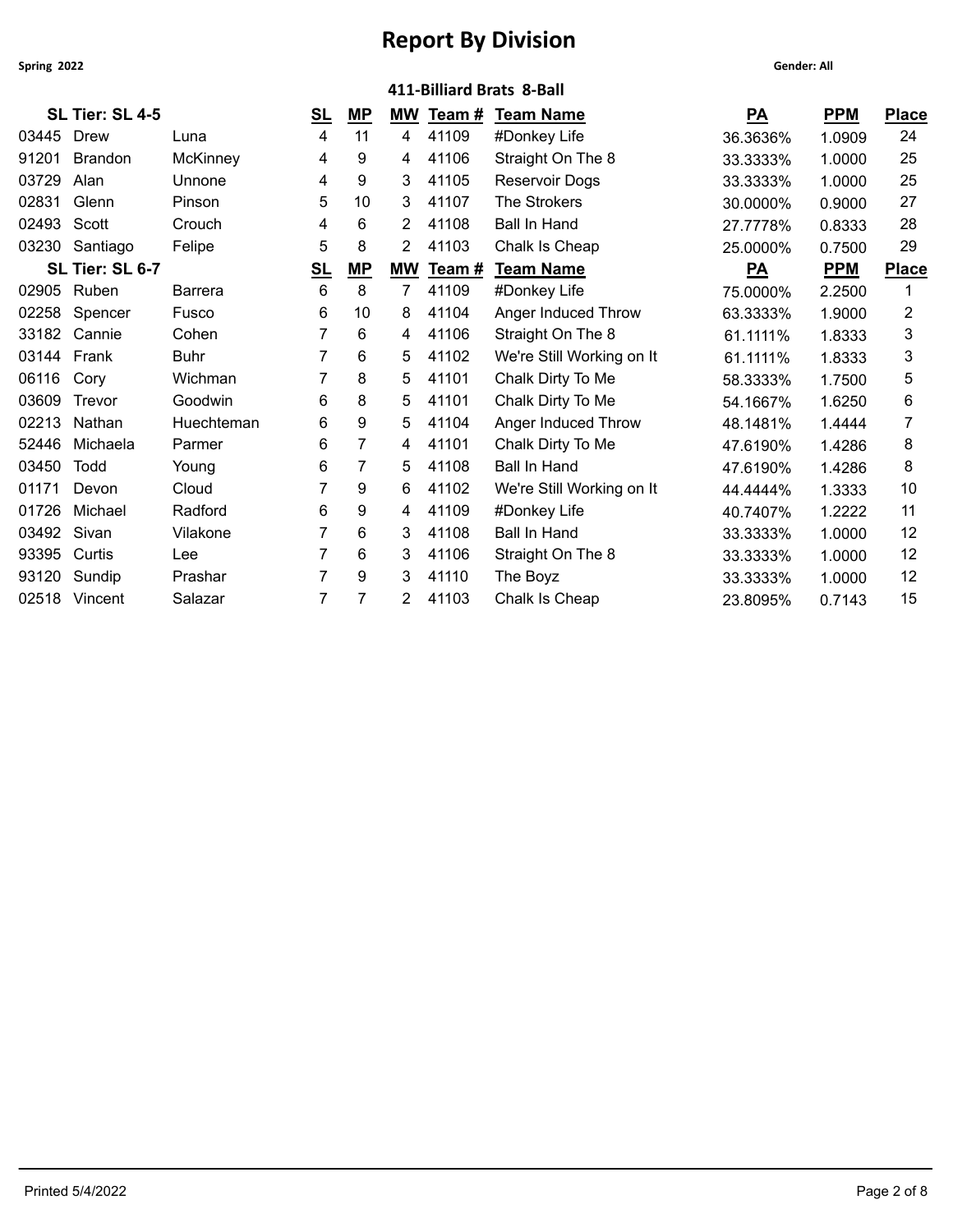| Spring 2022 |                 |                 |                |                |           |        |                           | <b>Gender: All</b> |            |              |
|-------------|-----------------|-----------------|----------------|----------------|-----------|--------|---------------------------|--------------------|------------|--------------|
|             |                 |                 |                |                |           |        | 411-Billiard Brats 8-Ball |                    |            |              |
|             | SL Tier: SL 4-5 |                 | S <sub>L</sub> | $MP$           | <b>MW</b> | Team # | <b>Team Name</b>          | PA                 | <b>PPM</b> | <b>Place</b> |
| 03445       | Drew            | Luna            | 4              | 11             | 4         | 41109  | #Donkey Life              | 36.3636%           | 1.0909     | 24           |
| 91201       | <b>Brandon</b>  | <b>McKinney</b> | 4              | 9              | 4         | 41106  | Straight On The 8         | 33.3333%           | 1.0000     | 25           |
| 03729       | Alan            | Unnone          | 4              | 9              | 3         | 41105  | Reservoir Dogs            | 33.3333%           | 1.0000     | 25           |
| 02831       | Glenn           | Pinson          | 5              | 10             | 3         | 41107  | The Strokers              | 30.0000%           | 0.9000     | 27           |
| 02493       | Scott           | Crouch          | 4              | 6              | 2         | 41108  | <b>Ball In Hand</b>       | 27.7778%           | 0.8333     | 28           |
|             | 03230 Santiago  | Felipe          | 5              | 8              | 2         | 41103  | Chalk Is Cheap            | 25.0000%           | 0.7500     | 29           |
|             | SL Tier: SL 6-7 |                 | S <sub>L</sub> | $MP$           | <b>MW</b> | Team#  | <b>Team Name</b>          | $P\underline{A}$   | <b>PPM</b> | <b>Place</b> |
|             | 02905 Ruben     | <b>Barrera</b>  | 6              | 8              | 7         | 41109  | #Donkey Life              | 75.0000%           | 2.2500     | 1            |
| 02258       | Spencer         | Fusco           | 6              | 10             | 8         | 41104  | Anger Induced Throw       | 63.3333%           | 1.9000     | 2            |
|             | 33182 Cannie    | Cohen           |                | 6              | 4         | 41106  | Straight On The 8         | 61.1111%           | 1.8333     | 3            |
| 03144       | Frank           | <b>Buhr</b>     |                | 6              | 5         | 41102  | We're Still Working on It | 61.1111%           | 1.8333     | 3            |
| 06116       | Cory            | Wichman         |                | 8              | 5         | 41101  | Chalk Dirty To Me         | 58.3333%           | 1.7500     | 5            |
| 03609       | Trevor          | Goodwin         | 6              | 8              | 5         | 41101  | Chalk Dirty To Me         | 54.1667%           | 1.6250     | 6            |
| 02213       | Nathan          | Huechteman      | 6              | 9              | 5         | 41104  | Anger Induced Throw       | 48.1481%           | 1.4444     | 7            |
| 52446       | Michaela        | Parmer          | 6              | $\overline{7}$ | 4         | 41101  | Chalk Dirty To Me         | 47.6190%           | 1.4286     | 8            |
| 03450       | Todd            | Young           | 6              | $\overline{7}$ | 5         | 41108  | <b>Ball In Hand</b>       | 47.6190%           | 1.4286     | 8            |
| 01171       | Devon           | Cloud           |                | 9              | 6         | 41102  | We're Still Working on It | 44.4444%           | 1.3333     | 10           |
| 01726       | Michael         | Radford         | 6              | 9              | 4         | 41109  | #Donkey Life              | 40.7407%           | 1.2222     | 11           |
| 03492       | Sivan           | Vilakone        |                | 6              | 3         | 41108  | <b>Ball In Hand</b>       | 33.3333%           | 1.0000     | 12           |
| 93395       | Curtis          | Lee             |                | 6              | 3         | 41106  | Straight On The 8         | 33.3333%           | 1.0000     | 12           |
| 93120       | Sundip          | Prashar         |                | 9              | 3         | 41110  | The Boyz                  | 33.3333%           | 1.0000     | 12           |
|             | 02518 Vincent   | Salazar         |                | 7              | 2         | 41103  | Chalk Is Cheap            | 23.8095%           | 0.7143     | 15           |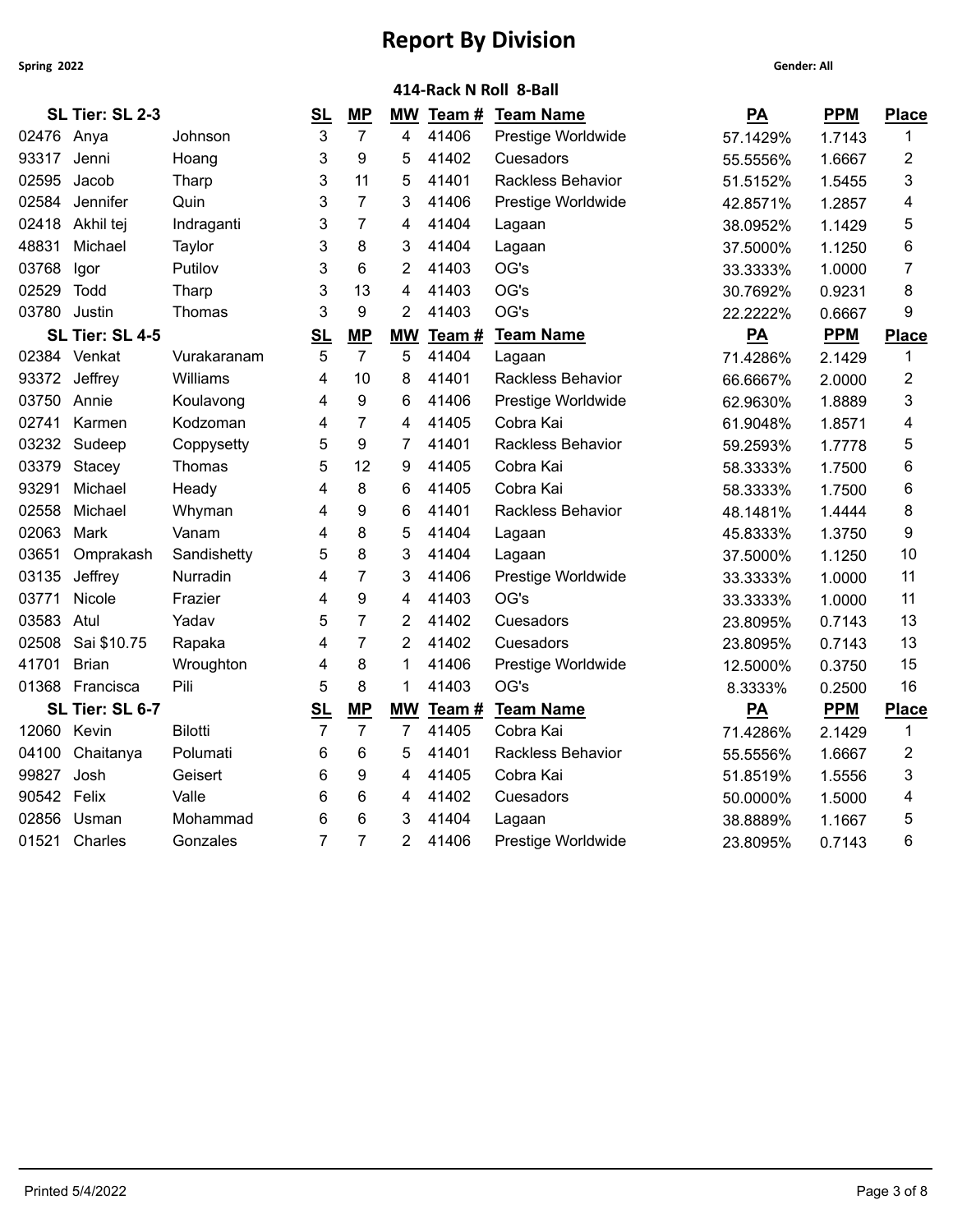| <b>Gender: All</b> |  |
|--------------------|--|
|                    |  |

|             | 414-Rack N Roll 8-Ball |                |                |                |                |       |                          |                  |            |                         |  |  |  |
|-------------|------------------------|----------------|----------------|----------------|----------------|-------|--------------------------|------------------|------------|-------------------------|--|--|--|
|             | SL Tier: SL 2-3        |                | <u>SL</u>      | MP             | <b>MW</b>      | Team# | <b>Team Name</b>         | $P\underline{A}$ | <b>PPM</b> | <b>Place</b>            |  |  |  |
| 02476 Anya  |                        | Johnson        | 3              | $\overline{7}$ | 4              | 41406 | Prestige Worldwide       | 57.1429%         | 1.7143     | 1                       |  |  |  |
| 93317       | Jenni                  | Hoang          | 3              | 9              | 5              | 41402 | Cuesadors                | 55.5556%         | 1.6667     | $\overline{\mathbf{c}}$ |  |  |  |
| 02595       | Jacob                  | Tharp          | 3              | 11             | 5              | 41401 | <b>Rackless Behavior</b> | 51.5152%         | 1.5455     | 3                       |  |  |  |
| 02584       | Jennifer               | Quin           | 3              | $\overline{7}$ | 3              | 41406 | Prestige Worldwide       | 42.8571%         | 1.2857     | 4                       |  |  |  |
| 02418       | Akhil tej              | Indraganti     | 3              | $\overline{7}$ | 4              | 41404 | Lagaan                   | 38.0952%         | 1.1429     | 5                       |  |  |  |
| 48831       | Michael                | Taylor         | 3              | 8              | 3              | 41404 | Lagaan                   | 37.5000%         | 1.1250     | 6                       |  |  |  |
| 03768       | Igor                   | Putilov        | 3              | 6              | 2              | 41403 | OG's                     | 33.3333%         | 1.0000     | 7                       |  |  |  |
| 02529       | Todd                   | Tharp          | 3              | 13             | 4              | 41403 | OG's                     | 30.7692%         | 0.9231     | 8                       |  |  |  |
| 03780       | Justin                 | Thomas         | 3              | 9              | $\overline{2}$ | 41403 | OG's                     | 22.2222%         | 0.6667     | 9                       |  |  |  |
|             | SL Tier: SL 4-5        |                | S <sub>L</sub> | MP             | <b>MW</b>      | Team# | <b>Team Name</b>         | $P\underline{A}$ | <b>PPM</b> | Place                   |  |  |  |
|             | 02384 Venkat           | Vurakaranam    | 5              | $\overline{7}$ | 5              | 41404 | Lagaan                   | 71.4286%         | 2.1429     | 1                       |  |  |  |
| 93372       | Jeffrey                | Williams       | 4              | 10             | 8              | 41401 | Rackless Behavior        | 66.6667%         | 2.0000     | $\overline{2}$          |  |  |  |
| 03750       | Annie                  | Koulavong      | 4              | 9              | 6              | 41406 | Prestige Worldwide       | 62.9630%         | 1.8889     | 3                       |  |  |  |
| 02741       | Karmen                 | Kodzoman       | 4              | 7              | 4              | 41405 | Cobra Kai                | 61.9048%         | 1.8571     | 4                       |  |  |  |
| 03232       | Sudeep                 | Coppysetty     | 5              | 9              | $\overline{7}$ | 41401 | Rackless Behavior        | 59.2593%         | 1.7778     | 5                       |  |  |  |
| 03379       | Stacey                 | Thomas         | 5              | 12             | 9              | 41405 | Cobra Kai                | 58.3333%         | 1.7500     | 6                       |  |  |  |
| 93291       | Michael                | Heady          | 4              | 8              | 6              | 41405 | Cobra Kai                | 58.3333%         | 1.7500     | 6                       |  |  |  |
| 02558       | Michael                | Whyman         | 4              | 9              | 6              | 41401 | Rackless Behavior        | 48.1481%         | 1.4444     | 8                       |  |  |  |
| 02063       | Mark                   | Vanam          | 4              | 8              | 5              | 41404 | Lagaan                   | 45.8333%         | 1.3750     | 9                       |  |  |  |
| 03651       | Omprakash              | Sandishetty    | 5              | 8              | 3              | 41404 | Lagaan                   | 37.5000%         | 1.1250     | 10                      |  |  |  |
| 03135       | Jeffrey                | Nurradin       | 4              | $\overline{7}$ | 3              | 41406 | Prestige Worldwide       | 33.3333%         | 1.0000     | 11                      |  |  |  |
| 03771       | Nicole                 | Frazier        | 4              | 9              | 4              | 41403 | OG's                     | 33.3333%         | 1.0000     | 11                      |  |  |  |
| 03583       | Atul                   | Yadav          | 5              | $\overline{7}$ | 2              | 41402 | Cuesadors                | 23.8095%         | 0.7143     | 13                      |  |  |  |
| 02508       | Sai \$10.75            | Rapaka         | 4              | $\overline{7}$ | $\overline{2}$ | 41402 | Cuesadors                | 23.8095%         | 0.7143     | 13                      |  |  |  |
| 41701       | <b>Brian</b>           | Wroughton      | 4              | 8              | 1              | 41406 | Prestige Worldwide       | 12.5000%         | 0.3750     | 15                      |  |  |  |
|             | 01368 Francisca        | Pili           | 5              | 8              | $\mathbf 1$    | 41403 | OG's                     | 8.3333%          | 0.2500     | 16                      |  |  |  |
|             | SL Tier: SL 6-7        |                | <u>SL</u>      | MP             | <b>MW</b>      | Team# | <b>Team Name</b>         | $\overline{PA}$  | <b>PPM</b> | <b>Place</b>            |  |  |  |
| 12060 Kevin |                        | <b>Bilotti</b> | $\overline{7}$ | $\overline{7}$ | $\overline{7}$ | 41405 | Cobra Kai                | 71.4286%         | 2.1429     | 1                       |  |  |  |
| 04100       | Chaitanya              | Polumati       | 6              | 6              | 5              | 41401 | Rackless Behavior        | 55.5556%         | 1.6667     | 2                       |  |  |  |
| 99827       | Josh                   | Geisert        | 6              | 9              | 4              | 41405 | Cobra Kai                | 51.8519%         | 1.5556     | 3                       |  |  |  |
| 90542       | Felix                  | Valle          | 6              | 6              | 4              | 41402 | Cuesadors                | 50.0000%         | 1.5000     | 4                       |  |  |  |
| 02856       | Usman                  | Mohammad       | 6              | 6              | 3              | 41404 | Lagaan                   | 38.8889%         | 1.1667     | 5                       |  |  |  |
|             | 01521 Charles          | Gonzales       | $\overline{7}$ | $\overline{7}$ | 2              | 41406 | Prestige Worldwide       | 23.8095%         | 0.7143     | 6                       |  |  |  |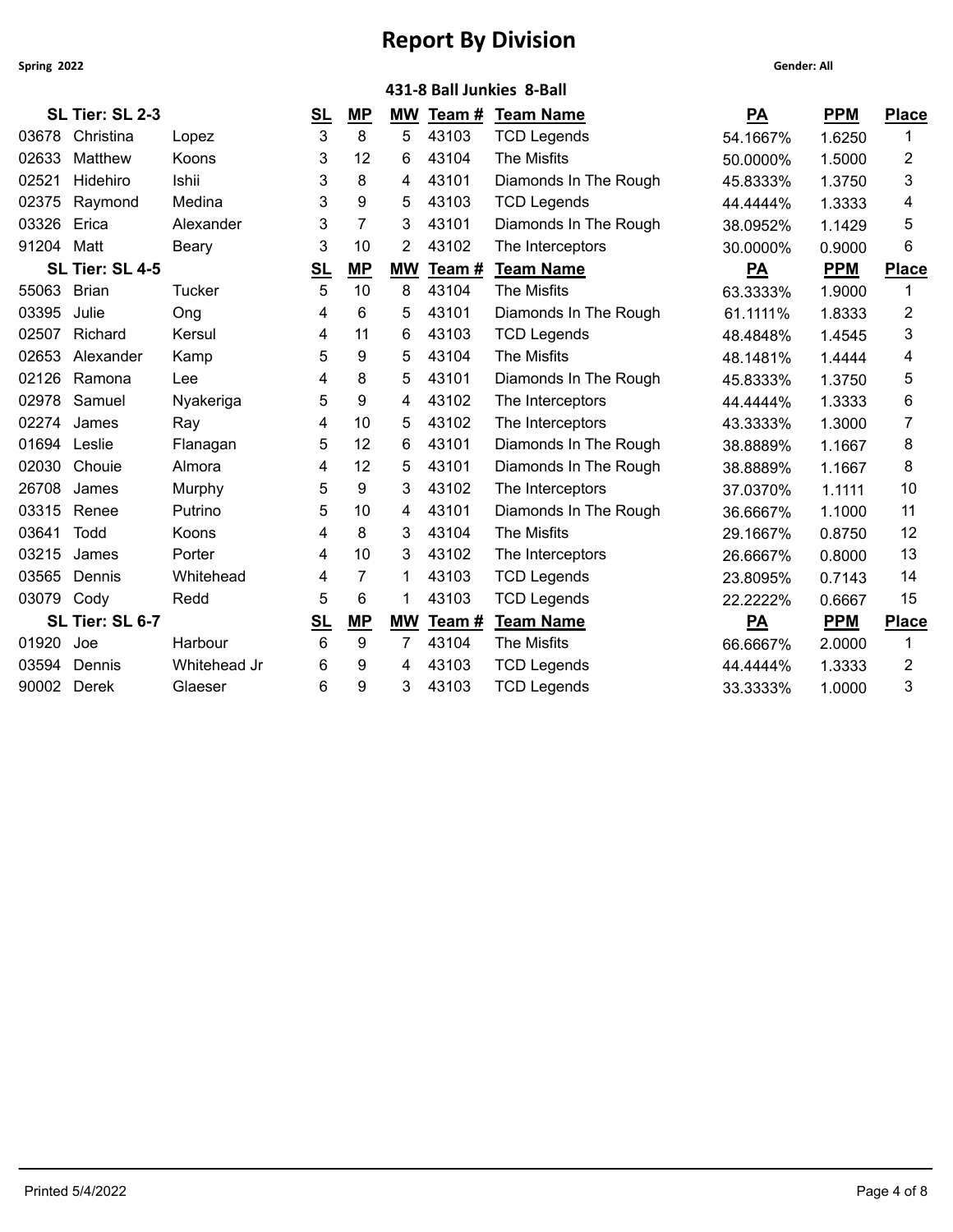|             | 431-8 Ball Junkies 8-Ball |               |                         |                |           |        |                       |                  |            |                |  |  |
|-------------|---------------------------|---------------|-------------------------|----------------|-----------|--------|-----------------------|------------------|------------|----------------|--|--|
|             | SL Tier: SL 2-3           |               | $\underline{\text{SL}}$ | <b>MP</b>      | <b>MW</b> | Team # | <b>Team Name</b>      | $P\underline{A}$ | <b>PPM</b> | <b>Place</b>   |  |  |
|             | 03678 Christina           | Lopez         | 3                       | 8              | 5         | 43103  | <b>TCD Legends</b>    | 54.1667%         | 1.6250     | 1              |  |  |
| 02633       | Matthew                   | Koons         | 3                       | 12             | 6         | 43104  | The Misfits           | 50.0000%         | 1.5000     | 2              |  |  |
| 02521       | Hidehiro                  | Ishii         | 3                       | 8              | 4         | 43101  | Diamonds In The Rough | 45.8333%         | 1.3750     | 3              |  |  |
| 02375       | Raymond                   | Medina        | 3                       | 9              | 5         | 43103  | <b>TCD Legends</b>    | 44.4444%         | 1.3333     | 4              |  |  |
| 03326       | Erica                     | Alexander     | 3                       | 7              | 3         | 43101  | Diamonds In The Rough | 38.0952%         | 1.1429     | 5              |  |  |
| 91204 Matt  |                           | Beary         | 3                       | 10             | 2         | 43102  | The Interceptors      | 30.0000%         | 0.9000     | 6              |  |  |
|             | SL Tier: SL 4-5           |               | <u>SL</u>               | $MP$           | <b>MW</b> | Team # | <b>Team Name</b>      | PA               | <b>PPM</b> | <b>Place</b>   |  |  |
| 55063 Brian |                           | <b>Tucker</b> | 5                       | 10             | 8         | 43104  | The Misfits           | 63.3333%         | 1.9000     | 1              |  |  |
| 03395       | Julie                     | Ong           | 4                       | 6              | 5         | 43101  | Diamonds In The Rough | 61.1111%         | 1.8333     | $\overline{c}$ |  |  |
| 02507       | Richard                   | Kersul        | 4                       | 11             | 6         | 43103  | <b>TCD Legends</b>    | 48.4848%         | 1.4545     | 3              |  |  |
| 02653       | Alexander                 | Kamp          | 5                       | 9              | 5         | 43104  | The Misfits           | 48.1481%         | 1.4444     | 4              |  |  |
| 02126       | Ramona                    | Lee           | 4                       | 8              | 5         | 43101  | Diamonds In The Rough | 45.8333%         | 1.3750     | 5              |  |  |
| 02978       | Samuel                    | Nyakeriga     | 5                       | 9              | 4         | 43102  | The Interceptors      | 44.4444%         | 1.3333     | 6              |  |  |
| 02274       | James                     | Ray           | 4                       | 10             | 5         | 43102  | The Interceptors      | 43.3333%         | 1.3000     | 7              |  |  |
| 01694       | Leslie                    | Flanagan      | 5                       | 12             | 6         | 43101  | Diamonds In The Rough | 38.8889%         | 1.1667     | 8              |  |  |
| 02030       | Chouie                    | Almora        | 4                       | 12             | 5         | 43101  | Diamonds In The Rough | 38.8889%         | 1.1667     | 8              |  |  |
| 26708       | James                     | Murphy        | 5                       | 9              | 3         | 43102  | The Interceptors      | 37.0370%         | 1.1111     | 10             |  |  |
| 03315       | Renee                     | Putrino       | 5                       | 10             | 4         | 43101  | Diamonds In The Rough | 36.6667%         | 1.1000     | 11             |  |  |
| 03641       | Todd                      | <b>Koons</b>  | 4                       | 8              | 3         | 43104  | The Misfits           | 29.1667%         | 0.8750     | 12             |  |  |
| 03215       | James                     | Porter        | 4                       | 10             | 3         | 43102  | The Interceptors      | 26.6667%         | 0.8000     | 13             |  |  |
| 03565       | Dennis                    | Whitehead     | 4                       | $\overline{7}$ |           | 43103  | <b>TCD Legends</b>    | 23.8095%         | 0.7143     | 14             |  |  |
| 03079 Cody  |                           | Redd          | 5                       | 6              | 1         | 43103  | <b>TCD Legends</b>    | 22.2222%         | 0.6667     | 15             |  |  |
|             | SL Tier: SL 6-7           |               | <b>SL</b>               | MP             | <b>MW</b> | Team#  | <b>Team Name</b>      | PA               | <b>PPM</b> | <b>Place</b>   |  |  |
| 01920       | Joe                       | Harbour       | 6                       | 9              | 7         | 43104  | The Misfits           | 66.6667%         | 2.0000     | 1              |  |  |
| 03594       | Dennis                    | Whitehead Jr  | 6                       | 9              | 4         | 43103  | <b>TCD Legends</b>    | 44.4444%         | 1.3333     | 2              |  |  |
| 90002       | Derek                     | Glaeser       | 6                       | 9              | 3         | 43103  | <b>TCD Legends</b>    | 33.3333%         | 1.0000     | 3              |  |  |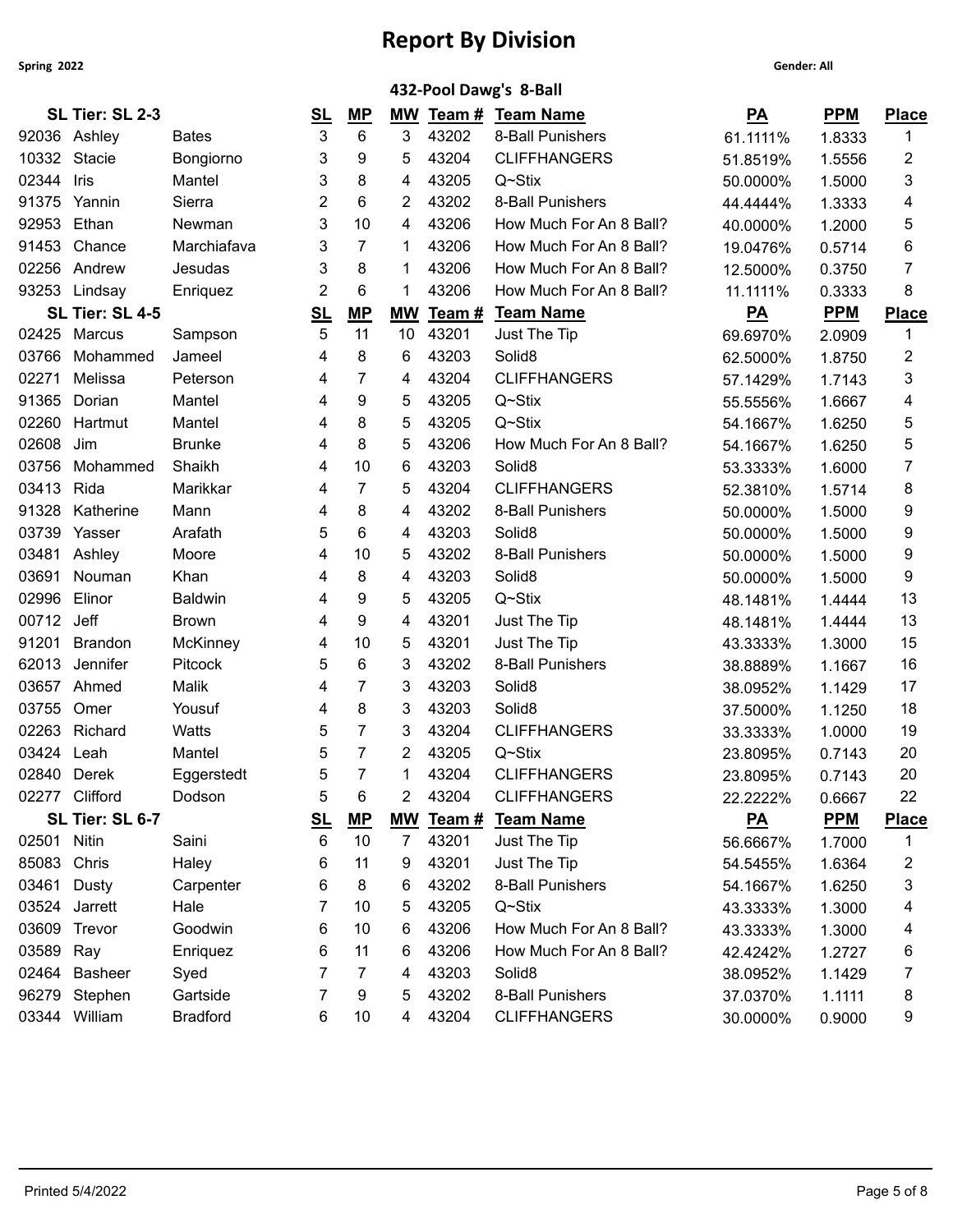|               |                 |                 |           |           |                |        | 432-Pool Dawg's 8-Ball  |                  |            |              |
|---------------|-----------------|-----------------|-----------|-----------|----------------|--------|-------------------------|------------------|------------|--------------|
|               | SL Tier: SL 2-3 |                 | <u>SL</u> | <u>MP</u> |                |        | MW Team # Team Name     | $\underline{PA}$ | <b>PPM</b> | <b>Place</b> |
|               | 92036 Ashley    | <b>Bates</b>    | 3         | 6         | 3              | 43202  | 8-Ball Punishers        | 61.1111%         | 1.8333     | 1            |
| 10332 Stacie  |                 | Bongiorno       | 3         | 9         | 5              | 43204  | <b>CLIFFHANGERS</b>     | 51.8519%         | 1.5556     | 2            |
| 02344         | Iris            | Mantel          | 3         | 8         | 4              | 43205  | $Q \sim$ Stix           | 50.0000%         | 1.5000     | 3            |
| 91375         | Yannin          | Sierra          | 2         | 6         | 2              | 43202  | 8-Ball Punishers        | 44.4444%         | 1.3333     | 4            |
| 92953         | Ethan           | Newman          | 3         | 10        | 4              | 43206  | How Much For An 8 Ball? | 40.0000%         | 1.2000     | 5            |
| 91453         | Chance          | Marchiafava     | 3         | 7         | 1              | 43206  | How Much For An 8 Ball? | 19.0476%         | 0.5714     | 6            |
| 02256         | Andrew          | Jesudas         | 3         | 8         | -1             | 43206  | How Much For An 8 Ball? | 12.5000%         | 0.3750     | 7            |
|               | 93253 Lindsay   | Enriquez        | 2         | 6         | 1              | 43206  | How Much For An 8 Ball? | 11.1111%         | 0.3333     | 8            |
|               | SL Tier: SL 4-5 |                 | <u>SL</u> | MP        | <b>MW</b>      | Team # | <b>Team Name</b>        | $\underline{PA}$ | <b>PPM</b> | <b>Place</b> |
|               | 02425 Marcus    | Sampson         | 5         | 11        | 10             | 43201  | Just The Tip            | 69.6970%         | 2.0909     | 1            |
| 03766         | Mohammed        | Jameel          | 4         | 8         | 6              | 43203  | Solid <sub>8</sub>      | 62.5000%         | 1.8750     | 2            |
| 02271         | Melissa         | Peterson        | 4         | 7         | 4              | 43204  | <b>CLIFFHANGERS</b>     | 57.1429%         | 1.7143     | 3            |
| 91365         | Dorian          | Mantel          | 4         | 9         | 5              | 43205  | Q~Stix                  | 55.5556%         | 1.6667     | 4            |
| 02260         | Hartmut         | Mantel          | 4         | 8         | 5              | 43205  | Q~Stix                  | 54.1667%         | 1.6250     | 5            |
| 02608         | Jim             | <b>Brunke</b>   | 4         | 8         | 5              | 43206  | How Much For An 8 Ball? | 54.1667%         | 1.6250     | 5            |
| 03756         | Mohammed        | Shaikh          | 4         | 10        | 6              | 43203  | Solid <sub>8</sub>      | 53.3333%         | 1.6000     | 7            |
| 03413         | Rida            | Marikkar        | 4         | 7         | 5              | 43204  | <b>CLIFFHANGERS</b>     | 52.3810%         | 1.5714     | 8            |
| 91328         | Katherine       | Mann            | 4         | 8         | 4              | 43202  | 8-Ball Punishers        | 50.0000%         | 1.5000     | 9            |
| 03739         | Yasser          | Arafath         | 5         | 6         | 4              | 43203  | Solid <sub>8</sub>      | 50.0000%         | 1.5000     | 9            |
| 03481         | Ashley          | Moore           | 4         | 10        | 5              | 43202  | 8-Ball Punishers        | 50.0000%         | 1.5000     | 9            |
| 03691         | Nouman          | Khan            | 4         | 8         | 4              | 43203  | Solid <sub>8</sub>      | 50.0000%         | 1.5000     | 9            |
| 02996         | Elinor          | <b>Baldwin</b>  | 4         | 9         | 5              | 43205  | Q~Stix                  | 48.1481%         | 1.4444     | 13           |
| 00712         | Jeff            | <b>Brown</b>    | 4         | 9         | 4              | 43201  | Just The Tip            | 48.1481%         | 1.4444     | 13           |
| 91201         | <b>Brandon</b>  | <b>McKinney</b> | 4         | 10        | 5              | 43201  | Just The Tip            | 43.3333%         | 1.3000     | 15           |
| 62013         | Jennifer        | Pitcock         | 5         | 6         | 3              | 43202  | 8-Ball Punishers        | 38.8889%         | 1.1667     | 16           |
| 03657         | Ahmed           | Malik           | 4         | 7         | 3              | 43203  | Solid <sub>8</sub>      | 38.0952%         | 1.1429     | 17           |
| 03755         | Omer            | Yousuf          | 4         | 8         | 3              | 43203  | Solid <sub>8</sub>      | 37.5000%         | 1.1250     | 18           |
| 02263         | Richard         | Watts           | 5         | 7         | 3              | 43204  | <b>CLIFFHANGERS</b>     | 33.3333%         | 1.0000     | 19           |
| 03424         | Leah            | Mantel          | 5         | 7         | 2              | 43205  | Q~Stix                  | 23.8095%         | 0.7143     | 20           |
| 02840 Derek   |                 | Eggerstedt      | 5         |           |                | 43204  | <b>CLIFFHANGERS</b>     | 23.8095%         | 0.7143     | 20           |
|               | 02277 Clifford  | Dodson          | 5         | 6         | 2              | 43204  | <b>CLIFFHANGERS</b>     | 22.2222%         | 0.6667     | 22           |
|               | SL Tier: SL 6-7 |                 | <u>SL</u> | <u>MP</u> | <b>MW</b>      | Team # | <b>Team Name</b>        | $\underline{PA}$ | <b>PPM</b> | <b>Place</b> |
| 02501 Nitin   |                 | Saini           | 6         | 10        | $\overline{7}$ | 43201  | Just The Tip            | 56.6667%         | 1.7000     | 1            |
| 85083         | Chris           | Haley           | 6         | 11        | 9              | 43201  | Just The Tip            | 54.5455%         | 1.6364     | 2            |
| 03461         | Dusty           | Carpenter       | 6         | 8         | 6              | 43202  | 8-Ball Punishers        | 54.1667%         | 1.6250     | 3            |
| 03524 Jarrett |                 | Hale            |           | 10        | 5              | 43205  | Q~Stix                  | 43.3333%         | 1.3000     | 4            |
| 03609         | Trevor          | Goodwin         | 6         | 10        | 6              | 43206  | How Much For An 8 Ball? | 43.3333%         | 1.3000     | 4            |
| 03589 Ray     |                 | Enriquez        | 6         | 11        | 6              | 43206  | How Much For An 8 Ball? | 42.4242%         | 1.2727     | 6            |
|               | 02464 Basheer   | Syed            |           | 7         | 4              | 43203  | Solid <sub>8</sub>      | 38.0952%         | 1.1429     | 7            |
| 96279         | Stephen         | Gartside        |           | 9         | 5              | 43202  | 8-Ball Punishers        | 37.0370%         | 1.1111     | 8            |
|               | 03344 William   | <b>Bradford</b> | 6         | 10        | 4              | 43204  | <b>CLIFFHANGERS</b>     | 30.0000%         | 0.9000     | 9            |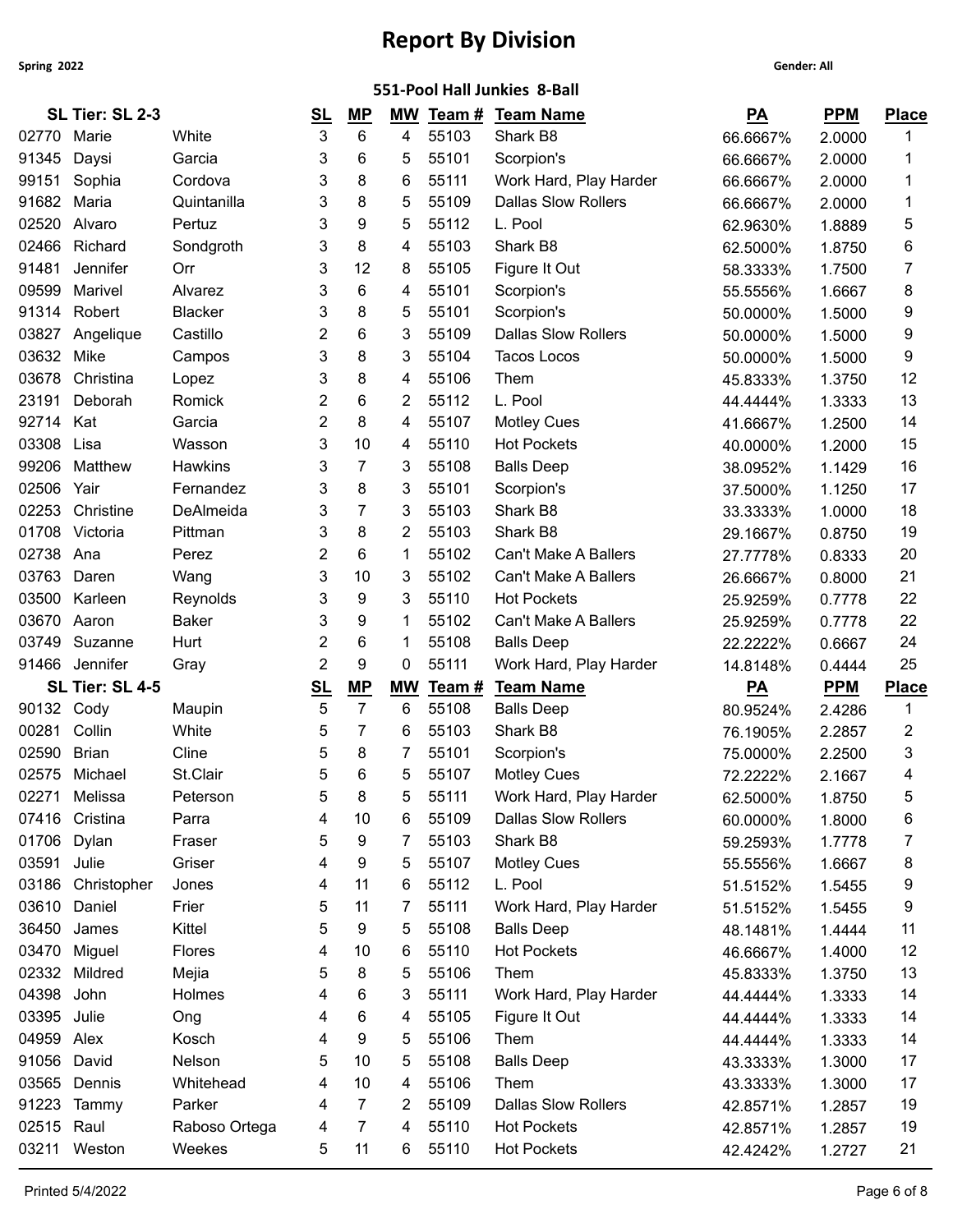|                | 551-Pool Hall Junkies 8-Ball |                         |           |           |           |                |                                                      |                      |                  |              |  |  |
|----------------|------------------------------|-------------------------|-----------|-----------|-----------|----------------|------------------------------------------------------|----------------------|------------------|--------------|--|--|
|                | SL Tier: SL 2-3              |                         | <u>SL</u> | <u>MP</u> | МW        |                | Team # Team Name                                     | $\underline{PA}$     | <b>PPM</b>       | <b>Place</b> |  |  |
| 02770          | Marie                        | White                   | 3         | 6         | 4         | 55103          | Shark B8                                             | 66.6667%             | 2.0000           | 1            |  |  |
| 91345          | Daysi                        | Garcia                  | 3         | 6         | 5         | 55101          | Scorpion's                                           | 66.6667%             | 2.0000           | 1            |  |  |
| 99151          | Sophia                       | Cordova                 | 3         | 8         | 6         | 55111          | Work Hard, Play Harder                               | 66.6667%             | 2.0000           | 1            |  |  |
| 91682          | Maria                        | Quintanilla             | 3         | 8         | 5         | 55109          | <b>Dallas Slow Rollers</b>                           | 66.6667%             | 2.0000           | 1            |  |  |
| 02520          | Alvaro                       | Pertuz                  | 3         | 9         | 5         | 55112          | L. Pool                                              | 62.9630%             | 1.8889           | 5            |  |  |
| 02466          | Richard                      | Sondgroth               | 3         | 8         | 4         | 55103          | Shark B8                                             | 62.5000%             | 1.8750           | 6            |  |  |
| 91481          | Jennifer                     | Orr                     | 3         | 12        | 8         | 55105          | Figure It Out                                        | 58.3333%             | 1.7500           | 7            |  |  |
| 09599          | Marivel                      | Alvarez                 | 3         | 6         | 4         | 55101          | Scorpion's                                           | 55.5556%             | 1.6667           | 8            |  |  |
| 91314          | Robert                       | <b>Blacker</b>          | 3         | 8         | 5         | 55101          | Scorpion's                                           | 50.0000%             | 1.5000           | 9            |  |  |
| 03827          | Angelique                    | Castillo                | 2         | 6         | 3         | 55109          | <b>Dallas Slow Rollers</b>                           | 50.0000%             | 1.5000           | 9            |  |  |
| 03632          | Mike                         | Campos                  | 3         | 8         | 3         | 55104          | <b>Tacos Locos</b>                                   | 50.0000%             | 1.5000           | 9            |  |  |
| 03678          | Christina                    | Lopez                   | 3         | 8         | 4         | 55106          | Them                                                 | 45.8333%             | 1.3750           | 12           |  |  |
| 23191          | Deborah                      | Romick                  | 2         | 6         | 2         | 55112          | L. Pool                                              | 44.4444%             | 1.3333           | 13           |  |  |
| 92714          | Kat                          | Garcia                  | 2         | 8         | 4         | 55107          | <b>Motley Cues</b>                                   | 41.6667%             | 1.2500           | 14           |  |  |
| 03308          | Lisa                         | Wasson                  | 3         | 10        | 4         | 55110          | <b>Hot Pockets</b>                                   | 40.0000%             | 1.2000           | 15           |  |  |
| 99206          | Matthew                      | <b>Hawkins</b>          | 3         | 7         | 3         | 55108          | <b>Balls Deep</b>                                    | 38.0952%             | 1.1429           | 16           |  |  |
| 02506          | Yair                         | Fernandez               | 3         | 8         | 3         | 55101          | Scorpion's                                           | 37.5000%             | 1.1250           | 17           |  |  |
| 02253          | Christine                    | DeAlmeida               | 3         | 7         | 3         | 55103          | Shark B8                                             | 33.3333%             | 1.0000           | 18           |  |  |
| 01708          | Victoria                     | Pittman                 | 3         | 8         | 2         | 55103          | Shark B8                                             | 29.1667%             | 0.8750           | 19           |  |  |
| 02738          | Ana                          | Perez                   | 2         | 6         | -1        | 55102          | <b>Can't Make A Ballers</b>                          | 27.7778%             | 0.8333           | 20           |  |  |
| 03763          | Daren                        | Wang                    | 3         | 10        | 3         | 55102          | Can't Make A Ballers                                 | 26.6667%             | 0.8000           | 21           |  |  |
| 03500          | Karleen                      | Reynolds                | 3         | 9         | 3         | 55110          | <b>Hot Pockets</b>                                   | 25.9259%             | 0.7778           | 22           |  |  |
| 03670          | Aaron                        | <b>Baker</b>            | 3         | 9         | -1        | 55102          | Can't Make A Ballers                                 | 25.9259%             | 0.7778           | 22           |  |  |
| 03749          | Suzanne                      | Hurt                    | 2         | 6         | 1         | 55108          | <b>Balls Deep</b>                                    | 22.2222%             | 0.6667           | 24           |  |  |
|                | 91466 Jennifer               | Gray                    | 2         | 9         | 0         | 55111          | Work Hard, Play Harder                               | 14.8148%             | 0.4444           | 25           |  |  |
|                | SL Tier: SL 4-5              |                         | <u>SL</u> | MP        | <b>MW</b> | Team #         | <b>Team Name</b>                                     | $\underline{PA}$     | <b>PPM</b>       | <b>Place</b> |  |  |
| 90132          | Cody                         | Maupin                  | 5         | 7         | 6         | 55108          | <b>Balls Deep</b>                                    | 80.9524%             | 2.4286           | 1            |  |  |
| 00281          | Collin                       | White                   | 5         | 7         | 6         | 55103          | Shark B8                                             | 76.1905%             | 2.2857           | 2            |  |  |
| 02590          | <b>Brian</b>                 | Cline                   | 5<br>5    | 8<br>6    | 5         | 55101<br>55107 | Scorpion's                                           | 75.0000%             | 2.2500           | 3            |  |  |
| 02575          | Michael                      | St.Clair                |           |           |           |                | <b>Motley Cues</b>                                   | 72.2222%             | 2.1667           | 4            |  |  |
| 02271<br>07416 | Melissa<br>Cristina          | Peterson                | 5         | 8<br>10   | 5         | 55111<br>55109 | Work Hard, Play Harder<br><b>Dallas Slow Rollers</b> | 62.5000%             | 1.8750           | 5            |  |  |
| 01706          | Dylan                        | Parra<br>Fraser         | 4         | 9         | 6<br>7    | 55103          | Shark B8                                             | 60.0000%             | 1.8000           | 6            |  |  |
| 03591          | Julie                        | Griser                  | 5<br>4    | 9         | 5         | 55107          | <b>Motley Cues</b>                                   | 59.2593%             | 1.7778<br>1.6667 | 7<br>8       |  |  |
| 03186          | Christopher                  | Jones                   | 4         | 11        | 6         | 55112          | L. Pool                                              | 55.5556%<br>51.5152% | 1.5455           | 9            |  |  |
| 03610          | Daniel                       | Frier                   | 5         | 11        | 7         | 55111          | Work Hard, Play Harder                               | 51.5152%             | 1.5455           | 9            |  |  |
| 36450          | James                        | Kittel                  | 5         | 9         | 5         | 55108          | <b>Balls Deep</b>                                    | 48.1481%             | 1.4444           | 11           |  |  |
| 03470          | Miguel                       | Flores                  | 4         | 10        | 6         | 55110          | <b>Hot Pockets</b>                                   | 46.6667%             | 1.4000           | 12           |  |  |
|                | 02332 Mildred                | Mejia                   | 5         | 8         | 5         | 55106          | Them                                                 | 45.8333%             | 1.3750           | 13           |  |  |
| 04398          | John                         | Holmes                  | 4         | 6         | 3         | 55111          | Work Hard, Play Harder                               | 44.4444%             | 1.3333           | 14           |  |  |
| 03395 Julie    |                              | Ong                     | 4         | 6         | 4         | 55105          | Figure It Out                                        | 44.4444%             | 1.3333           | 14           |  |  |
|                |                              |                         |           |           | 5         | 55106          | Them                                                 | 44.4444%             | 1.3333           | 14           |  |  |
|                |                              |                         |           |           |           |                |                                                      |                      |                  |              |  |  |
| 04959 Alex     |                              | Kosch                   | 4         | 9         |           |                |                                                      |                      |                  |              |  |  |
| 91056          | David                        | Nelson                  | 5         | 10        | 5         | 55108          | <b>Balls Deep</b>                                    | 43.3333%             | 1.3000           | 17           |  |  |
| 03565          | Dennis                       | Whitehead               | 4         | 10        | 4         | 55106          | Them                                                 | 43.3333%             | 1.3000           | 17           |  |  |
| 91223          | Tammy                        | Parker                  | 4         | 7         | 2         | 55109          | <b>Dallas Slow Rollers</b>                           | 42.8571%             | 1.2857           | 19           |  |  |
| 02515 Raul     | 03211 Weston                 | Raboso Ortega<br>Weekes | 4<br>5    | 7<br>11   | 4<br>6    | 55110<br>55110 | <b>Hot Pockets</b><br><b>Hot Pockets</b>             | 42.8571%<br>42.4242% | 1.2857<br>1.2727 | 19<br>21     |  |  |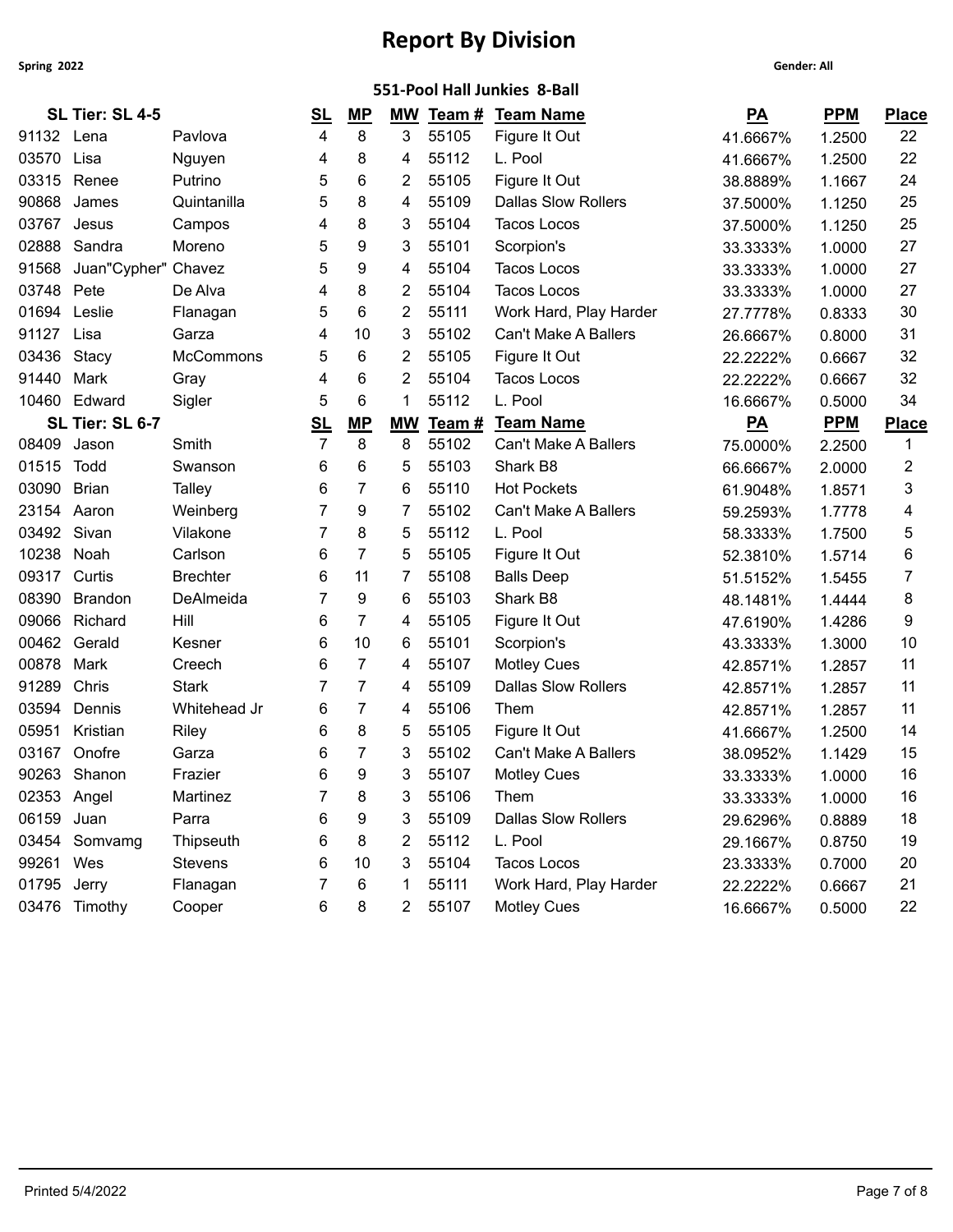|                                                                      |                                                                                                                                                                                                                                         | <u>SL</u>           | <u>MP</u>      |                |       |                            | <u>PA</u>                                        | <b>PPM</b> | <b>Place</b> |
|----------------------------------------------------------------------|-----------------------------------------------------------------------------------------------------------------------------------------------------------------------------------------------------------------------------------------|---------------------|----------------|----------------|-------|----------------------------|--------------------------------------------------|------------|--------------|
|                                                                      | Pavlova                                                                                                                                                                                                                                 | 4                   | 8              | 3              | 55105 | Figure It Out              | 41.6667%                                         | 1.2500     | 22           |
| Lisa                                                                 | Nguyen                                                                                                                                                                                                                                  | 4                   | 8              | 4              | 55112 | L. Pool                    | 41.6667%                                         | 1.2500     | 22           |
| Renee                                                                | Putrino                                                                                                                                                                                                                                 | 5                   | 6              | 2              | 55105 | Figure It Out              | 38.8889%                                         | 1.1667     | 24           |
| James                                                                | Quintanilla                                                                                                                                                                                                                             | 5                   | 8              | 4              | 55109 | <b>Dallas Slow Rollers</b> | 37.5000%                                         | 1.1250     | 25           |
| Jesus                                                                | Campos                                                                                                                                                                                                                                  | 4                   | 8              | 3              | 55104 | <b>Tacos Locos</b>         | 37.5000%                                         | 1.1250     | 25           |
| Sandra                                                               | Moreno                                                                                                                                                                                                                                  | 5                   | 9              | 3              | 55101 | Scorpion's                 | 33.3333%                                         | 1.0000     | 27           |
|                                                                      |                                                                                                                                                                                                                                         | 5                   | 9              | 4              | 55104 | Tacos Locos                | 33.3333%                                         | 1.0000     | 27           |
|                                                                      | De Alva                                                                                                                                                                                                                                 | 4                   | 8              | $\overline{2}$ | 55104 | <b>Tacos Locos</b>         | 33.3333%                                         | 1.0000     | 27           |
| Leslie                                                               | Flanagan                                                                                                                                                                                                                                | 5                   | 6              | 2              | 55111 | Work Hard, Play Harder     | 27.7778%                                         | 0.8333     | 30           |
| Lisa                                                                 | Garza                                                                                                                                                                                                                                   | 4                   | 10             | 3              | 55102 | Can't Make A Ballers       | 26.6667%                                         | 0.8000     | 31           |
| Stacy                                                                | McCommons                                                                                                                                                                                                                               | 5                   | 6              | 2              | 55105 | Figure It Out              | 22.2222%                                         | 0.6667     | 32           |
| Mark                                                                 | Gray                                                                                                                                                                                                                                    | 4                   | 6              | 2              | 55104 | <b>Tacos Locos</b>         | 22.2222%                                         | 0.6667     | 32           |
| Edward                                                               | Sigler                                                                                                                                                                                                                                  | 5                   | 6              | 1              | 55112 | L. Pool                    | 16.6667%                                         | 0.5000     | 34           |
|                                                                      |                                                                                                                                                                                                                                         | <u>SL</u>           | MP             | <b>MW</b>      | Team# | <b>Team Name</b>           | $\underline{PA}$                                 | <b>PPM</b> | <b>Place</b> |
| Jason                                                                | Smith                                                                                                                                                                                                                                   | 7                   | 8              | 8              | 55102 | Can't Make A Ballers       | 75.0000%                                         | 2.2500     | 1            |
| Todd                                                                 | Swanson                                                                                                                                                                                                                                 | 6                   | 6              | 5              | 55103 | Shark B8                   | 66.6667%                                         | 2.0000     | 2            |
| <b>Brian</b>                                                         | <b>Talley</b>                                                                                                                                                                                                                           | 6                   | 7              | 6              | 55110 | <b>Hot Pockets</b>         | 61.9048%                                         | 1.8571     | 3            |
| Aaron                                                                | Weinberg                                                                                                                                                                                                                                |                     | 9              | 7              | 55102 | Can't Make A Ballers       | 59.2593%                                         | 1.7778     | 4            |
|                                                                      | Vilakone                                                                                                                                                                                                                                |                     | 8              | 5              | 55112 | L. Pool                    | 58.3333%                                         | 1.7500     | 5            |
| Noah                                                                 | Carlson                                                                                                                                                                                                                                 | 6                   | 7              | 5              | 55105 | Figure It Out              | 52.3810%                                         | 1.5714     | 6            |
| Curtis                                                               | <b>Brechter</b>                                                                                                                                                                                                                         | 6                   | 11             | 7              | 55108 | <b>Balls Deep</b>          | 51.5152%                                         | 1.5455     | 7            |
| <b>Brandon</b>                                                       | DeAlmeida                                                                                                                                                                                                                               |                     | 9              | 6              | 55103 | Shark B8                   | 48.1481%                                         | 1.4444     | 8            |
| Richard                                                              | Hill                                                                                                                                                                                                                                    | 6                   | $\overline{7}$ | 4              | 55105 | Figure It Out              | 47.6190%                                         | 1.4286     | 9            |
| Gerald                                                               | Kesner                                                                                                                                                                                                                                  | 6                   | 10             | 6              | 55101 | Scorpion's                 | 43.3333%                                         | 1.3000     | 10           |
| Mark                                                                 | Creech                                                                                                                                                                                                                                  | 6                   | 7              | 4              | 55107 | <b>Motley Cues</b>         | 42.8571%                                         | 1.2857     | 11           |
| Chris                                                                | <b>Stark</b>                                                                                                                                                                                                                            |                     | 7              | 4              | 55109 | <b>Dallas Slow Rollers</b> | 42.8571%                                         | 1.2857     | 11           |
| Dennis                                                               | Whitehead Jr                                                                                                                                                                                                                            | 6                   | 7              | 4              | 55106 | Them                       | 42.8571%                                         | 1.2857     | 11           |
| Kristian                                                             | Riley                                                                                                                                                                                                                                   | 6                   | 8              | 5              | 55105 | Figure It Out              | 41.6667%                                         | 1.2500     | 14           |
| Onofre                                                               | Garza                                                                                                                                                                                                                                   | 6                   | 7              | 3              | 55102 | Can't Make A Ballers       | 38.0952%                                         | 1.1429     | 15           |
| Shanon                                                               | Frazier                                                                                                                                                                                                                                 | 6                   | 9              | 3              | 55107 | <b>Motley Cues</b>         | 33.3333%                                         | 1.0000     | 16           |
|                                                                      | Martinez                                                                                                                                                                                                                                |                     | 8              | 3              | 55106 | Them                       | 33.3333%                                         | 1.0000     | 16           |
|                                                                      | Parra                                                                                                                                                                                                                                   | 6                   | 9              | 3              | 55109 | <b>Dallas Slow Rollers</b> | 29.6296%                                         | 0.8889     | 18           |
|                                                                      | Thipseuth                                                                                                                                                                                                                               | 6                   | 8              | 2              | 55112 | L. Pool                    | 29.1667%                                         | 0.8750     | 19           |
|                                                                      | <b>Stevens</b>                                                                                                                                                                                                                          | 6                   | 10             | 3              | 55104 | <b>Tacos Locos</b>         | 23.3333%                                         | 0.7000     | 20           |
|                                                                      | Flanagan                                                                                                                                                                                                                                |                     | 6              |                | 55111 | Work Hard, Play Harder     | 22.2222%                                         | 0.6667     | 21           |
|                                                                      | Cooper                                                                                                                                                                                                                                  | 6                   | 8              | $\mathbf{2}$   |       | <b>Motley Cues</b>         | 16.6667%                                         | 0.5000     | 22           |
| 90868<br>03436<br>10460<br>01515<br>03090<br>23154<br>08390<br>00878 | SL Tier: SL 4-5<br>91132 Lena<br>03570<br>03315<br>03767<br>03748 Pete<br>SL Tier: SL 6-7<br>08409<br>03492 Sivan<br>09317<br>00462<br>90263<br>02353 Angel<br>06159 Juan<br>03454 Somvamg<br>99261 Wes<br>01795 Jerry<br>03476 Timothy | Juan"Cypher" Chavez |                |                |       | МW<br>55107                | 551-Pool Hall Junkies 8-Ball<br>Team # Team Name |            |              |